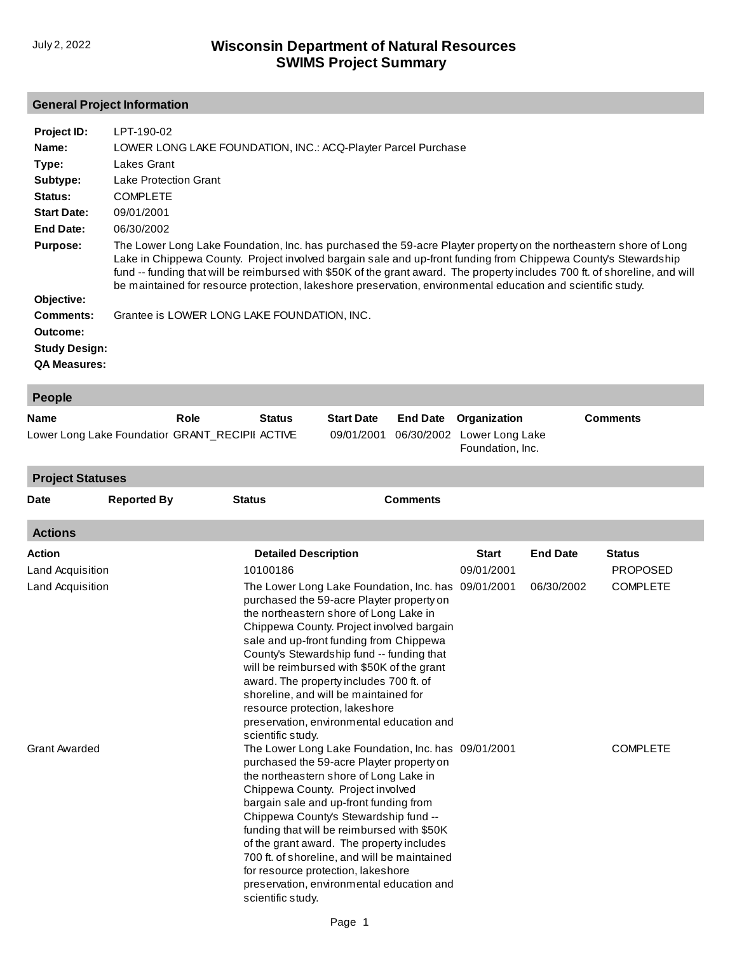#### **General Project Information**

| Project ID:          | LPT-190-02                                                                                                                                                                                                                                                                                                                                                                                                                                                                         |
|----------------------|------------------------------------------------------------------------------------------------------------------------------------------------------------------------------------------------------------------------------------------------------------------------------------------------------------------------------------------------------------------------------------------------------------------------------------------------------------------------------------|
|                      |                                                                                                                                                                                                                                                                                                                                                                                                                                                                                    |
| Name:                | LOWER LONG LAKE FOUNDATION, INC.: ACQ-Playter Parcel Purchase                                                                                                                                                                                                                                                                                                                                                                                                                      |
| Type:                | Lakes Grant                                                                                                                                                                                                                                                                                                                                                                                                                                                                        |
| Subtype:             | Lake Protection Grant                                                                                                                                                                                                                                                                                                                                                                                                                                                              |
| Status:              | <b>COMPLETE</b>                                                                                                                                                                                                                                                                                                                                                                                                                                                                    |
| <b>Start Date:</b>   | 09/01/2001                                                                                                                                                                                                                                                                                                                                                                                                                                                                         |
| End Date:            | 06/30/2002                                                                                                                                                                                                                                                                                                                                                                                                                                                                         |
| <b>Purpose:</b>      | The Lower Long Lake Foundation, Inc. has purchased the 59-acre Playter property on the northeastern shore of Long<br>Lake in Chippewa County. Project involved bargain sale and up-front funding from Chippewa County's Stewardship<br>fund -- funding that will be reimbursed with \$50K of the grant award. The property includes 700 ft. of shoreline, and will<br>be maintained for resource protection, lakeshore preservation, environmental education and scientific study. |
| Objective:           |                                                                                                                                                                                                                                                                                                                                                                                                                                                                                    |
| <b>Comments:</b>     | Grantee is LOWER LONG LAKE FOUNDATION, INC.                                                                                                                                                                                                                                                                                                                                                                                                                                        |
| Outcome:             |                                                                                                                                                                                                                                                                                                                                                                                                                                                                                    |
| <b>Study Design:</b> |                                                                                                                                                                                                                                                                                                                                                                                                                                                                                    |
| <b>QA Measures:</b>  |                                                                                                                                                                                                                                                                                                                                                                                                                                                                                    |
|                      |                                                                                                                                                                                                                                                                                                                                                                                                                                                                                    |

| <b>People</b>                                   |      |               |                   |  |                                                           |                 |
|-------------------------------------------------|------|---------------|-------------------|--|-----------------------------------------------------------|-----------------|
| <b>Name</b>                                     | Role | <b>Status</b> | <b>Start Date</b> |  | <b>End Date</b> Organization                              | <b>Comments</b> |
| Lower Long Lake Foundatior GRANT RECIPII ACTIVE |      |               |                   |  | 09/01/2001 06/30/2002 Lower Long Lake<br>Foundation, Inc. |                 |

**Actions Action Detailed Description Start End Date Status** [Land Acquisition](http://prodoasint.dnr.wi.gov/swims/viewAction.do?id=37822901) Land Acquisition Grant Awarded 10100186 The Lower Long Lake Foundation, Inc. has 09/01/2001 purchased the 59-acre Playter property on the northeastern shore of Long Lake in [Chippewa County. Project involved bargain](http://prodoasint.dnr.wi.gov/swims/viewAction.do?id=158154470) sale and up-front funding from Chippewa County's Stewardship fund -- funding that will be reimbursed with \$50K of the grant award. The property includes 700 ft. of shoreline, and will be maintained for resource protection, lakeshore preservation, environmental education and scientific study. The Lower Long Lake Foundation, Inc. has 09/01/2001 purchased the 59-acre Playter property on the northeastern shore of Long Lake in Chippewa County. Project involved bargain sale and up-front funding from Chippewa County's Stewardship fund - funding that will be reimbursed with \$50K of the grant award. The property includes [700 ft. of shoreline, and will be maintained](http://prodoasint.dnr.wi.gov/swims/viewAction.do?id=71625)  for resource protection, lakeshore preservation, environmental education and scientific study. 09/01/2001 06/30/2002 PROPOSED COMPLETE COMPLETE **Project Statuses Date Reported By Status Comments**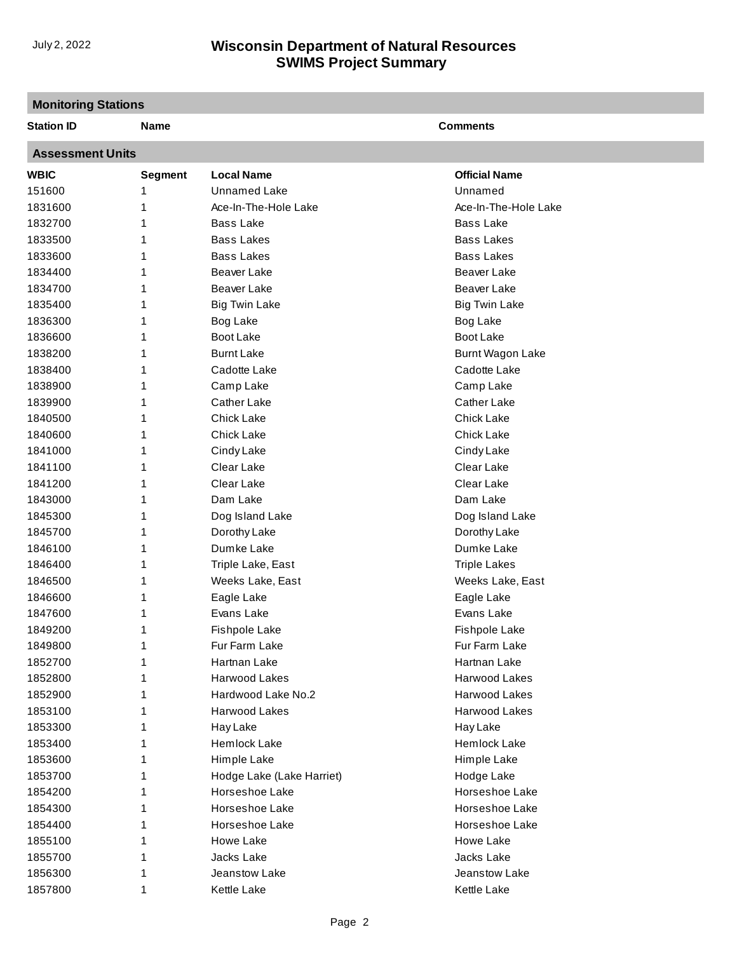# **Monitoring Stations**

| <b>Station ID</b>       | Name           |                           | <b>Comments</b>      |  |  |  |  |
|-------------------------|----------------|---------------------------|----------------------|--|--|--|--|
| <b>Assessment Units</b> |                |                           |                      |  |  |  |  |
| <b>WBIC</b>             | <b>Segment</b> | <b>Local Name</b>         | <b>Official Name</b> |  |  |  |  |
| 151600                  | 1              | Unnamed Lake              | Unnamed              |  |  |  |  |
| 1831600                 | 1              | Ace-In-The-Hole Lake      | Ace-In-The-Hole Lake |  |  |  |  |
| 1832700                 |                | <b>Bass Lake</b>          | <b>Bass Lake</b>     |  |  |  |  |
| 1833500                 | 1              | <b>Bass Lakes</b>         | <b>Bass Lakes</b>    |  |  |  |  |
| 1833600                 | 1              | <b>Bass Lakes</b>         | <b>Bass Lakes</b>    |  |  |  |  |
| 1834400                 | 1              | <b>Beaver Lake</b>        | Beaver Lake          |  |  |  |  |
| 1834700                 | 1              | <b>Beaver Lake</b>        | <b>Beaver Lake</b>   |  |  |  |  |
| 1835400                 | 1              | <b>Big Twin Lake</b>      | <b>Big Twin Lake</b> |  |  |  |  |
| 1836300                 | 1              | Bog Lake                  | Bog Lake             |  |  |  |  |
| 1836600                 | 1              | <b>Boot Lake</b>          | Boot Lake            |  |  |  |  |
| 1838200                 | 1              | <b>Burnt Lake</b>         | Burnt Wagon Lake     |  |  |  |  |
| 1838400                 | 1              | Cadotte Lake              | Cadotte Lake         |  |  |  |  |
| 1838900                 | 1              | Camp Lake                 | Camp Lake            |  |  |  |  |
| 1839900                 | 1              | Cather Lake               | Cather Lake          |  |  |  |  |
| 1840500                 | 1              | <b>Chick Lake</b>         | <b>Chick Lake</b>    |  |  |  |  |
| 1840600                 | 1              | <b>Chick Lake</b>         | <b>Chick Lake</b>    |  |  |  |  |
| 1841000                 | 1              | Cindy Lake                | Cindy Lake           |  |  |  |  |
| 1841100                 | 1              | Clear Lake                | Clear Lake           |  |  |  |  |
| 1841200                 | 1              | Clear Lake                | Clear Lake           |  |  |  |  |
| 1843000                 | 1              | Dam Lake                  | Dam Lake             |  |  |  |  |
| 1845300                 | 1              | Dog Island Lake           | Dog Island Lake      |  |  |  |  |
| 1845700                 | 1              | Dorothy Lake              | Dorothy Lake         |  |  |  |  |
| 1846100                 | 1              | Dumke Lake                | Dumke Lake           |  |  |  |  |
| 1846400                 | 1              | Triple Lake, East         | <b>Triple Lakes</b>  |  |  |  |  |
| 1846500                 | 1              | Weeks Lake, East          | Weeks Lake, East     |  |  |  |  |
| 1846600                 | 1              | Eagle Lake                | Eagle Lake           |  |  |  |  |
| 1847600                 | 1              | Evans Lake                | Evans Lake           |  |  |  |  |
| 1849200                 | 1              | <b>Fishpole Lake</b>      | <b>Fishpole Lake</b> |  |  |  |  |
| 1849800                 | 1              | Fur Farm Lake             | Fur Farm Lake        |  |  |  |  |
| 1852700                 | 1              | Hartnan Lake              | Hartnan Lake         |  |  |  |  |
| 1852800                 |                | Harwood Lakes             | Harwood Lakes        |  |  |  |  |
| 1852900                 |                | Hardwood Lake No.2        | Harwood Lakes        |  |  |  |  |
| 1853100                 |                | Harwood Lakes             | Harwood Lakes        |  |  |  |  |
| 1853300                 |                | Hay Lake                  | Hay Lake             |  |  |  |  |
| 1853400                 |                | Hemlock Lake              | Hemlock Lake         |  |  |  |  |
| 1853600                 |                | Himple Lake               | Himple Lake          |  |  |  |  |
| 1853700                 |                | Hodge Lake (Lake Harriet) | Hodge Lake           |  |  |  |  |
| 1854200                 |                | Horseshoe Lake            | Horseshoe Lake       |  |  |  |  |
| 1854300                 |                | Horseshoe Lake            | Horseshoe Lake       |  |  |  |  |
| 1854400                 |                | Horseshoe Lake            | Horseshoe Lake       |  |  |  |  |
| 1855100                 |                | Howe Lake                 | Howe Lake            |  |  |  |  |
| 1855700                 |                | Jacks Lake                | Jacks Lake           |  |  |  |  |
|                         |                |                           |                      |  |  |  |  |
| 1856300                 |                | Jeanstow Lake             | Jeanstow Lake        |  |  |  |  |
| 1857800                 | 1              | Kettle Lake               | Kettle Lake          |  |  |  |  |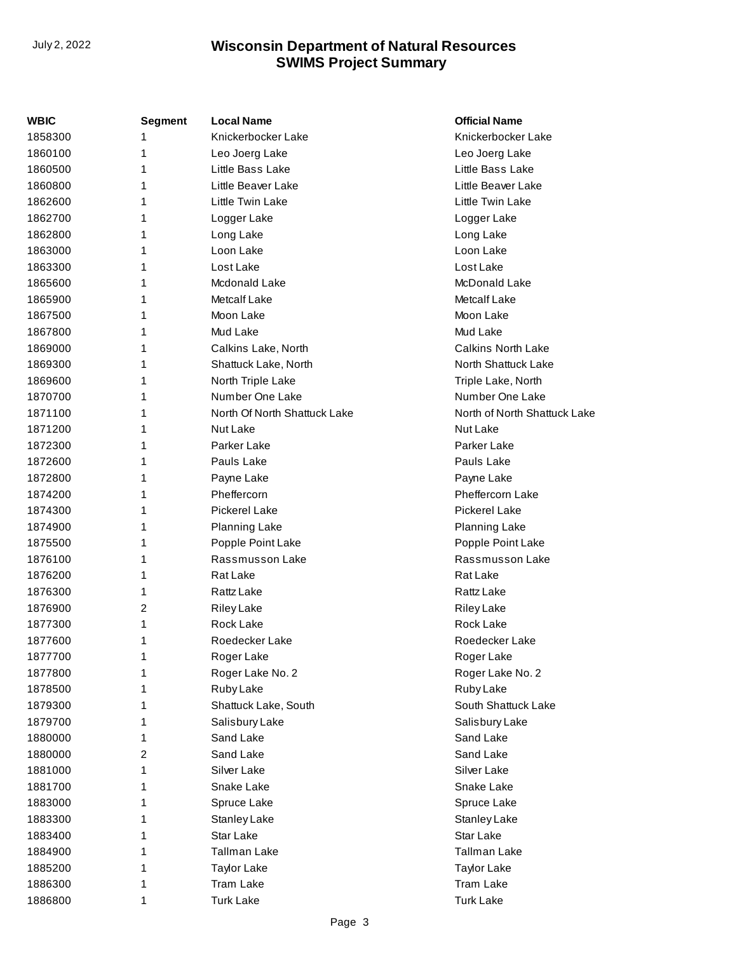| WBIC    | Segment | <b>Local Name</b>            | <b>Official Name</b>         |
|---------|---------|------------------------------|------------------------------|
| 1858300 | 1       | Knickerbocker Lake           | Knickerbocker Lake           |
| 1860100 | 1       | Leo Joerg Lake               | Leo Joerg Lake               |
| 1860500 | 1       | Little Bass Lake             | Little Bass Lake             |
| 1860800 | 1       | Little Beaver Lake           | Little Beaver Lake           |
| 1862600 | 1       | Little Twin Lake             | Little Twin Lake             |
| 1862700 | 1       | Logger Lake                  | Logger Lake                  |
| 1862800 | 1       | Long Lake                    | Long Lake                    |
| 1863000 | 1       | Loon Lake                    | Loon Lake                    |
| 1863300 | 1       | Lost Lake                    | Lost Lake                    |
| 1865600 | 1       | Mcdonald Lake                | McDonald Lake                |
| 1865900 | 1       | Metcalf Lake                 | Metcalf Lake                 |
| 1867500 | 1       | Moon Lake                    | Moon Lake                    |
| 1867800 | 1       | Mud Lake                     | Mud Lake                     |
| 1869000 | 1       | Calkins Lake, North          | <b>Calkins North Lake</b>    |
| 1869300 | 1       | Shattuck Lake, North         | North Shattuck Lake          |
| 1869600 | 1       | North Triple Lake            | Triple Lake, North           |
| 1870700 | 1       | Number One Lake              | Number One Lake              |
| 1871100 | 1       | North Of North Shattuck Lake | North of North Shattuck Lake |
| 1871200 | 1       | Nut Lake                     | Nut Lake                     |
| 1872300 | 1       | Parker Lake                  | Parker Lake                  |
| 1872600 | 1       | Pauls Lake                   | Pauls Lake                   |
| 1872800 | 1       | Payne Lake                   | Payne Lake                   |
| 1874200 | 1       | Pheffercorn                  | <b>Pheffercorn Lake</b>      |
| 1874300 | 1       | <b>Pickerel Lake</b>         | <b>Pickerel Lake</b>         |
| 1874900 | 1       | Planning Lake                | Planning Lake                |
| 1875500 | 1       | Popple Point Lake            | Popple Point Lake            |
| 1876100 | 1       | Rassmusson Lake              | Rassmusson Lake              |
| 1876200 | 1       | Rat Lake                     | Rat Lake                     |
| 1876300 | 1       | Rattz Lake                   | <b>Rattz Lake</b>            |
| 1876900 | 2       | <b>Riley Lake</b>            | <b>Riley Lake</b>            |
| 1877300 | 1       | Rock Lake                    | Rock Lake                    |
| 1877600 | 1       | <b>Roedecker Lake</b>        | Roedecker Lake               |
| 1877700 | 1       | Roger Lake                   | Roger Lake                   |
| 1877800 | 1       | Roger Lake No. 2             | Roger Lake No. 2             |
| 1878500 | 1       | Ruby Lake                    | Ruby Lake                    |
| 1879300 | 1       | Shattuck Lake, South         | South Shattuck Lake          |
| 1879700 | 1       | Salisbury Lake               | Salisbury Lake               |
| 1880000 | 1       | Sand Lake                    | Sand Lake                    |
| 1880000 | 2       | Sand Lake                    | Sand Lake                    |
| 1881000 | 1       | Silver Lake                  | Silver Lake                  |
| 1881700 | 1       | Snake Lake                   | Snake Lake                   |
| 1883000 | 1       | Spruce Lake                  | Spruce Lake                  |
| 1883300 | 1       | Stanley Lake                 | Stanley Lake                 |
| 1883400 | 1       | Star Lake                    | Star Lake                    |
| 1884900 | 1       | <b>Tallman Lake</b>          | <b>Tallman Lake</b>          |
| 1885200 | 1       | <b>Taylor Lake</b>           | <b>Taylor Lake</b>           |
| 1886300 | 1       | <b>Tram Lake</b>             | <b>Tram Lake</b>             |
| 1886800 | 1       | <b>Turk Lake</b>             | <b>Turk Lake</b>             |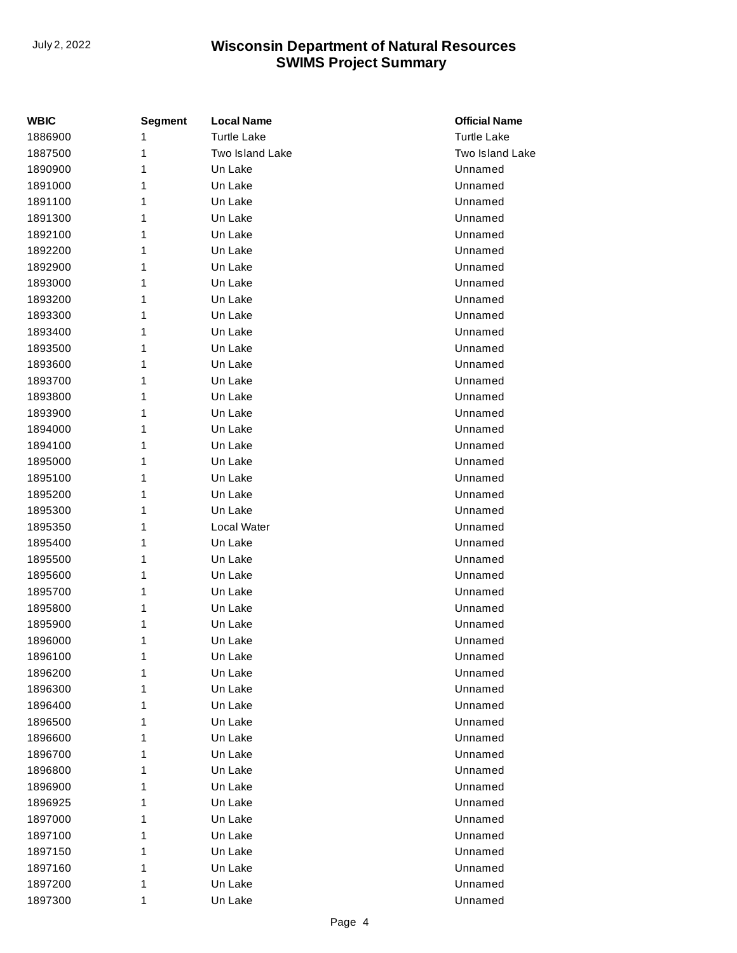| <b>WBIC</b> | <b>Segment</b> | <b>Local Name</b>  | <b>Official Name</b> |
|-------------|----------------|--------------------|----------------------|
| 1886900     | 1              | <b>Turtle Lake</b> | <b>Turtle Lake</b>   |
| 1887500     | 1              | Two Island Lake    | Two Island Lake      |
| 1890900     | 1              | Un Lake            | Unnamed              |
| 1891000     | 1              | Un Lake            | Unnamed              |
| 1891100     | 1              | Un Lake            | Unnamed              |
| 1891300     | 1              | Un Lake            | Unnamed              |
| 1892100     | 1              | Un Lake            | Unnamed              |
| 1892200     | 1              | Un Lake            | Unnamed              |
| 1892900     | 1              | Un Lake            | Unnamed              |
| 1893000     | 1              | Un Lake            | Unnamed              |
| 1893200     | 1              | Un Lake            | Unnamed              |
| 1893300     | 1              | Un Lake            | Unnamed              |
| 1893400     | 1              | Un Lake            | Unnamed              |
| 1893500     | 1              | Un Lake            | Unnamed              |
| 1893600     | 1              | Un Lake            | Unnamed              |
| 1893700     | 1              | Un Lake            | Unnamed              |
| 1893800     | 1              | Un Lake            | Unnamed              |
| 1893900     | 1              | Un Lake            | Unnamed              |
| 1894000     | 1              | Un Lake            | Unnamed              |
| 1894100     | 1              | Un Lake            | Unnamed              |
| 1895000     | 1              | Un Lake            | Unnamed              |
| 1895100     | 1              | Un Lake            | Unnamed              |
| 1895200     | 1              | Un Lake            | Unnamed              |
| 1895300     | 1              | Un Lake            | Unnamed              |
| 1895350     | 1              | Local Water        | Unnamed              |
| 1895400     | 1              | Un Lake            | Unnamed              |
| 1895500     | 1              | Un Lake            | Unnamed              |
| 1895600     | 1              | Un Lake            | Unnamed              |
| 1895700     | 1              | Un Lake            | Unnamed              |
| 1895800     | 1              | Un Lake            | Unnamed              |
| 1895900     | 1              | Un Lake            | Unnamed              |
| 1896000     | 1              | Un Lake            | Unnamed              |
| 1896100     | 1              | Un Lake            | Unnamed              |
| 1896200     | 1              | Un Lake            | Unnamed              |
| 1896300     | 1              | Un Lake            | Unnamed              |
| 1896400     | 1              | Un Lake            | Unnamed              |
| 1896500     | 1              | Un Lake            | Unnamed              |
| 1896600     | 1              | Un Lake            | Unnamed              |
| 1896700     | 1              | Un Lake            | Unnamed              |
| 1896800     | 1              | Un Lake            | Unnamed              |
| 1896900     | 1              | Un Lake            | Unnamed              |
| 1896925     | 1              | Un Lake            | Unnamed              |
| 1897000     | 1              | Un Lake            | Unnamed              |
| 1897100     | 1              | Un Lake            | Unnamed              |
| 1897150     | 1              | Un Lake            | Unnamed              |
| 1897160     | 1              | Un Lake            | Unnamed              |
| 1897200     | 1              | Un Lake            | Unnamed              |
| 1897300     | 1              | Un Lake            | Unnamed              |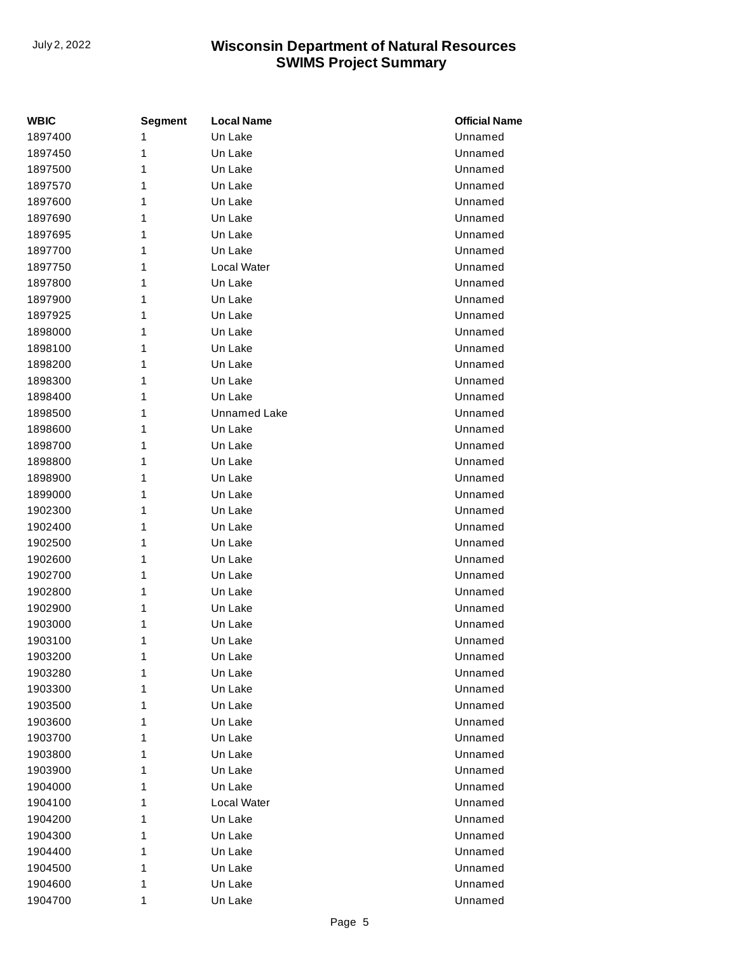| <b>WBIC</b> | <b>Segment</b> | <b>Local Name</b>   | <b>Official Name</b> |
|-------------|----------------|---------------------|----------------------|
| 1897400     | 1              | Un Lake             | Unnamed              |
| 1897450     | 1              | Un Lake             | Unnamed              |
| 1897500     | 1              | Un Lake             | Unnamed              |
| 1897570     | 1              | Un Lake             | Unnamed              |
| 1897600     | 1              | Un Lake             | Unnamed              |
| 1897690     | 1              | Un Lake             | Unnamed              |
| 1897695     | 1              | Un Lake             | Unnamed              |
| 1897700     | 1              | Un Lake             | Unnamed              |
| 1897750     | 1              | Local Water         | Unnamed              |
| 1897800     | 1              | Un Lake             | Unnamed              |
| 1897900     | 1              | Un Lake             | Unnamed              |
| 1897925     | 1              | Un Lake             | Unnamed              |
| 1898000     | 1              | Un Lake             | Unnamed              |
| 1898100     | 1              | Un Lake             | Unnamed              |
| 1898200     | 1              | Un Lake             | Unnamed              |
| 1898300     | 1              | Un Lake             | Unnamed              |
| 1898400     | 1              | Un Lake             | Unnamed              |
| 1898500     | 1              | <b>Unnamed Lake</b> | Unnamed              |
| 1898600     | 1              | Un Lake             | Unnamed              |
| 1898700     | 1              | Un Lake             | Unnamed              |
| 1898800     | 1              | Un Lake             | Unnamed              |
| 1898900     | 1              | Un Lake             | Unnamed              |
| 1899000     | 1              | Un Lake             | Unnamed              |
| 1902300     | 1              | Un Lake             | Unnamed              |
| 1902400     | 1              | Un Lake             | Unnamed              |
| 1902500     | 1              | Un Lake             | Unnamed              |
| 1902600     | 1              | Un Lake             | Unnamed              |
| 1902700     | 1              | Un Lake             | Unnamed              |
| 1902800     | 1              | Un Lake             | Unnamed              |
| 1902900     | 1              | Un Lake             | Unnamed              |
| 1903000     | 1              | Un Lake             | Unnamed              |
| 1903100     | 1              | Un Lake             | Unnamed              |
| 1903200     | 1              | Un Lake             | Unnamed              |
| 1903280     | 1              | Un Lake             | Unnamed              |
| 1903300     | 1              | Un Lake             | Unnamed              |
| 1903500     | 1              | Un Lake             | Unnamed              |
| 1903600     | 1              | Un Lake             | Unnamed              |
| 1903700     | 1              | Un Lake             | Unnamed              |
| 1903800     | 1              | Un Lake             | Unnamed              |
| 1903900     | 1              | Un Lake             | Unnamed              |
| 1904000     | 1              | Un Lake             | Unnamed              |
| 1904100     | 1              | Local Water         | Unnamed              |
| 1904200     | 1              | Un Lake             | Unnamed              |
| 1904300     | 1              | Un Lake             | Unnamed              |
| 1904400     | 1              | Un Lake             | Unnamed              |
| 1904500     | 1              | Un Lake             | Unnamed              |
| 1904600     | 1              | Un Lake             | Unnamed              |
| 1904700     | 1              | Un Lake             | Unnamed              |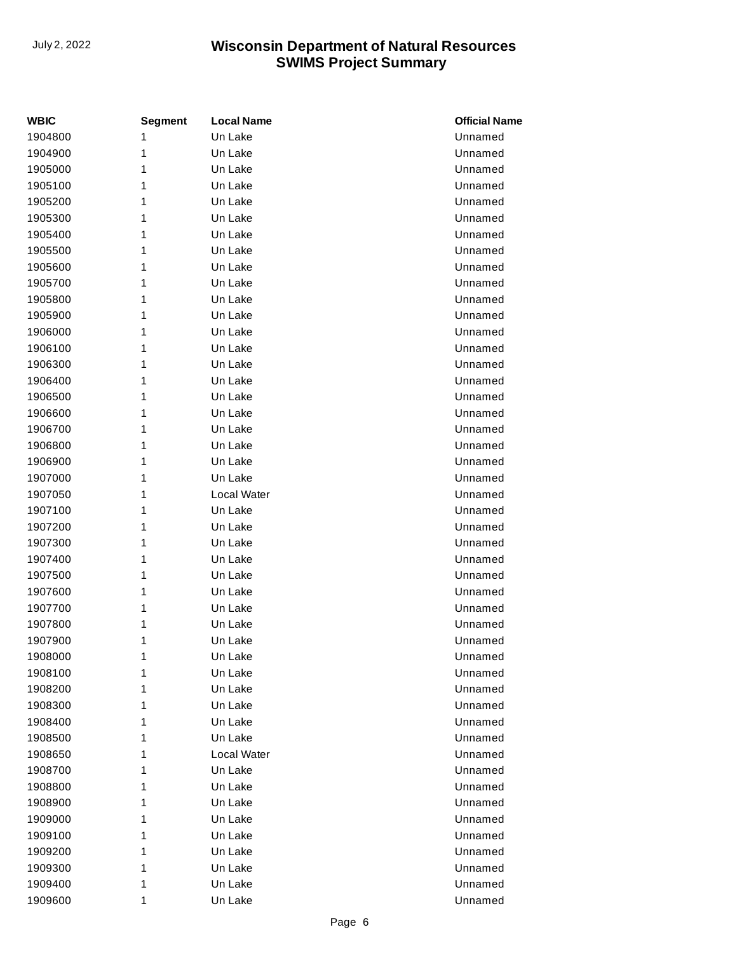| WBIC    | <b>Segment</b> | <b>Local Name</b> | <b>Official Name</b> |
|---------|----------------|-------------------|----------------------|
| 1904800 | 1              | Un Lake           | Unnamed              |
| 1904900 | 1              | Un Lake           | Unnamed              |
| 1905000 | 1              | Un Lake           | Unnamed              |
| 1905100 | 1              | Un Lake           | Unnamed              |
| 1905200 | 1              | Un Lake           | Unnamed              |
| 1905300 | 1              | Un Lake           | Unnamed              |
| 1905400 | 1              | Un Lake           | Unnamed              |
| 1905500 | 1              | Un Lake           | Unnamed              |
| 1905600 | 1              | Un Lake           | Unnamed              |
| 1905700 | 1              | Un Lake           | Unnamed              |
| 1905800 | 1              | Un Lake           | Unnamed              |
| 1905900 | 1              | Un Lake           | Unnamed              |
| 1906000 | 1              | Un Lake           | Unnamed              |
| 1906100 | 1              | Un Lake           | Unnamed              |
| 1906300 | 1              | Un Lake           | Unnamed              |
| 1906400 | 1              | Un Lake           | Unnamed              |
| 1906500 | 1              | Un Lake           | Unnamed              |
| 1906600 | 1              | Un Lake           | Unnamed              |
| 1906700 | 1              | Un Lake           | Unnamed              |
| 1906800 | 1              | Un Lake           | Unnamed              |
| 1906900 | 1              | Un Lake           | Unnamed              |
| 1907000 | 1              | Un Lake           | Unnamed              |
| 1907050 | 1              | Local Water       | Unnamed              |
| 1907100 | 1              | Un Lake           | Unnamed              |
| 1907200 | 1              | Un Lake           | Unnamed              |
| 1907300 | 1              | Un Lake           | Unnamed              |
| 1907400 | 1              | Un Lake           | Unnamed              |
| 1907500 | 1              | Un Lake           | Unnamed              |
| 1907600 | 1              | Un Lake           | Unnamed              |
| 1907700 | 1              | Un Lake           | Unnamed              |
| 1907800 | 1              | Un Lake           | Unnamed              |
| 1907900 | 1              | Un Lake           | Unnamed              |
| 1908000 | 1              | Un Lake           | Unnamed              |
| 1908100 | 1              | Un Lake           | Unnamed              |
| 1908200 | 1              | Un Lake           | Unnamed              |
| 1908300 | 1              | Un Lake           | Unnamed              |
| 1908400 | 1              | Un Lake           | Unnamed              |
| 1908500 | 1              | Un Lake           | Unnamed              |
| 1908650 | 1              | Local Water       | Unnamed              |
| 1908700 | 1              | Un Lake           | Unnamed              |
| 1908800 | 1              | Un Lake           | Unnamed              |
| 1908900 | 1              | Un Lake           | Unnamed              |
| 1909000 | 1              | Un Lake           | Unnamed              |
| 1909100 | 1              | Un Lake           | Unnamed              |
| 1909200 | 1              | Un Lake           | Unnamed              |
| 1909300 | 1              | Un Lake           | Unnamed              |
| 1909400 | 1              | Un Lake           | Unnamed              |
| 1909600 | 1              | Un Lake           | Unnamed              |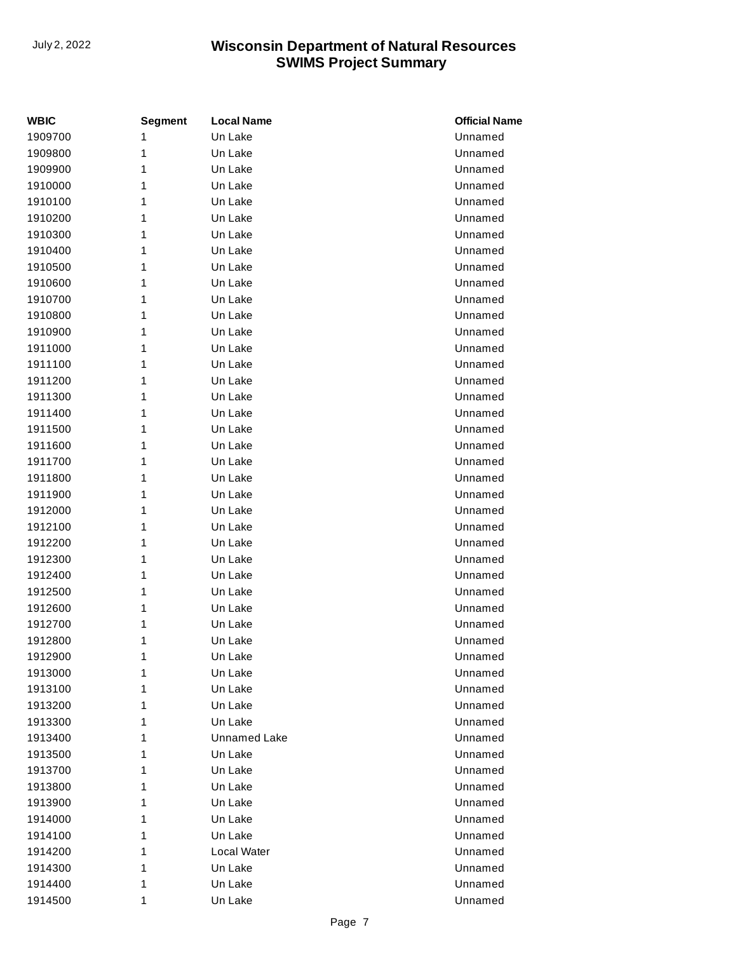| <b>WBIC</b> | <b>Segment</b> | <b>Local Name</b>   | <b>Official Name</b> |
|-------------|----------------|---------------------|----------------------|
| 1909700     | 1              | Un Lake             | Unnamed              |
| 1909800     | 1              | Un Lake             | Unnamed              |
| 1909900     | 1              | Un Lake             | Unnamed              |
| 1910000     | 1              | Un Lake             | Unnamed              |
| 1910100     | 1              | Un Lake             | Unnamed              |
| 1910200     | 1              | Un Lake             | Unnamed              |
| 1910300     | 1              | Un Lake             | Unnamed              |
| 1910400     | 1              | Un Lake             | Unnamed              |
| 1910500     | 1              | Un Lake             | Unnamed              |
| 1910600     | 1              | Un Lake             | Unnamed              |
| 1910700     | 1              | Un Lake             | Unnamed              |
| 1910800     | 1              | Un Lake             | Unnamed              |
| 1910900     | 1              | Un Lake             | Unnamed              |
| 1911000     | 1              | Un Lake             | Unnamed              |
| 1911100     | 1              | Un Lake             | Unnamed              |
| 1911200     | 1              | Un Lake             | Unnamed              |
| 1911300     | 1              | Un Lake             | Unnamed              |
| 1911400     | 1              | Un Lake             | Unnamed              |
| 1911500     | 1              | Un Lake             | Unnamed              |
| 1911600     | 1              | Un Lake             | Unnamed              |
| 1911700     | 1              | Un Lake             | Unnamed              |
| 1911800     | 1              | Un Lake             | Unnamed              |
| 1911900     | 1              | Un Lake             | Unnamed              |
| 1912000     | 1              | Un Lake             | Unnamed              |
| 1912100     | 1              | Un Lake             | Unnamed              |
| 1912200     | 1              | Un Lake             | Unnamed              |
| 1912300     | 1              | Un Lake             | Unnamed              |
| 1912400     | 1              | Un Lake             | Unnamed              |
| 1912500     | 1              | Un Lake             | Unnamed              |
| 1912600     | 1              | Un Lake             | Unnamed              |
| 1912700     | 1              | Un Lake             | Unnamed              |
| 1912800     | 1              | Un Lake             | Unnamed              |
| 1912900     | 1              | Un Lake             | Unnamed              |
| 1913000     | 1              | Un Lake             | Unnamed              |
| 1913100     | 1              | Un Lake             | Unnamed              |
| 1913200     | 1              | Un Lake             | Unnamed              |
| 1913300     | 1              | Un Lake             | Unnamed              |
| 1913400     | 1              | <b>Unnamed Lake</b> | Unnamed              |
| 1913500     | 1              | Un Lake             | Unnamed              |
| 1913700     | 1              | Un Lake             | Unnamed              |
| 1913800     | 1              | Un Lake             | Unnamed              |
| 1913900     | 1              | Un Lake             | Unnamed              |
| 1914000     | 1              | Un Lake             | Unnamed              |
| 1914100     | 1              | Un Lake             | Unnamed              |
| 1914200     | 1              | Local Water         | Unnamed              |
| 1914300     | 1              | Un Lake             | Unnamed              |
| 1914400     | 1              | Un Lake             | Unnamed              |
| 1914500     | 1              | Un Lake             | Unnamed              |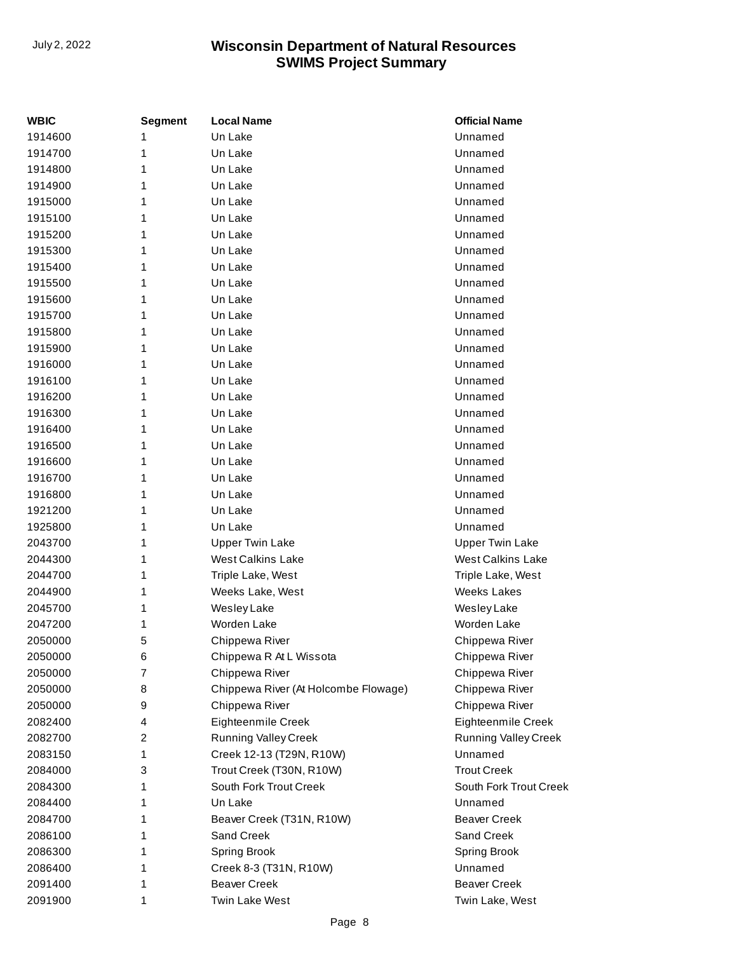| <b>WBIC</b> | <b>Segment</b> | <b>Local Name</b>                    | <b>Official Name</b>        |
|-------------|----------------|--------------------------------------|-----------------------------|
| 1914600     | 1              | Un Lake                              | Unnamed                     |
| 1914700     | 1              | Un Lake                              | Unnamed                     |
| 1914800     | 1              | Un Lake                              | Unnamed                     |
| 1914900     | 1              | Un Lake                              | Unnamed                     |
| 1915000     | 1              | Un Lake                              | Unnamed                     |
| 1915100     | 1              | Un Lake                              | Unnamed                     |
| 1915200     | 1              | Un Lake                              | Unnamed                     |
| 1915300     | 1              | Un Lake                              | Unnamed                     |
| 1915400     | 1              | Un Lake                              | Unnamed                     |
| 1915500     | 1              | Un Lake                              | Unnamed                     |
| 1915600     | 1              | Un Lake                              | Unnamed                     |
| 1915700     | 1              | Un Lake                              | Unnamed                     |
| 1915800     | 1              | Un Lake                              | Unnamed                     |
| 1915900     | 1              | Un Lake                              | Unnamed                     |
| 1916000     | 1              | Un Lake                              | Unnamed                     |
| 1916100     | 1              | Un Lake                              | Unnamed                     |
| 1916200     | 1              | Un Lake                              | Unnamed                     |
| 1916300     | 1              | Un Lake                              | Unnamed                     |
| 1916400     | 1              | Un Lake                              | Unnamed                     |
| 1916500     | 1              | Un Lake                              | Unnamed                     |
| 1916600     | 1              | Un Lake                              | Unnamed                     |
| 1916700     | 1              | Un Lake                              | Unnamed                     |
| 1916800     | 1              | Un Lake                              | Unnamed                     |
| 1921200     | 1              | Un Lake                              | Unnamed                     |
| 1925800     | 1              | Un Lake                              | Unnamed                     |
| 2043700     | 1              | <b>Upper Twin Lake</b>               | <b>Upper Twin Lake</b>      |
| 2044300     | 1              | <b>West Calkins Lake</b>             | <b>West Calkins Lake</b>    |
| 2044700     | 1              | Triple Lake, West                    | Triple Lake, West           |
| 2044900     | 1              | Weeks Lake, West                     | <b>Weeks Lakes</b>          |
| 2045700     | 1              | Wesley Lake                          | Wesley Lake                 |
| 2047200     | 1              | Worden Lake                          | Worden Lake                 |
| 2050000     | 5              | Chippewa River                       | Chippewa River              |
| 2050000     | 6              | Chippewa R At L Wissota              | Chippewa River              |
| 2050000     | 7              | Chippewa River                       | Chippewa River              |
| 2050000     | 8              | Chippewa River (At Holcombe Flowage) | Chippewa River              |
| 2050000     | 9              | Chippewa River                       | Chippewa River              |
| 2082400     | 4              | Eighteenmile Creek                   | Eighteenmile Creek          |
| 2082700     | 2              | <b>Running Valley Creek</b>          | <b>Running Valley Creek</b> |
| 2083150     | 1              | Creek 12-13 (T29N, R10W)             | Unnamed                     |
| 2084000     | 3              | Trout Creek (T30N, R10W)             | <b>Trout Creek</b>          |
| 2084300     | 1              | South Fork Trout Creek               | South Fork Trout Creek      |
| 2084400     | 1              | Un Lake                              | Unnamed                     |
| 2084700     | 1              | Beaver Creek (T31N, R10W)            | <b>Beaver Creek</b>         |
| 2086100     | 1              | Sand Creek                           | Sand Creek                  |
| 2086300     | 1              | <b>Spring Brook</b>                  | Spring Brook                |
| 2086400     | 1              | Creek 8-3 (T31N, R10W)               | Unnamed                     |
| 2091400     | 1              | <b>Beaver Creek</b>                  | <b>Beaver Creek</b>         |
| 2091900     | 1              | <b>Twin Lake West</b>                | Twin Lake, West             |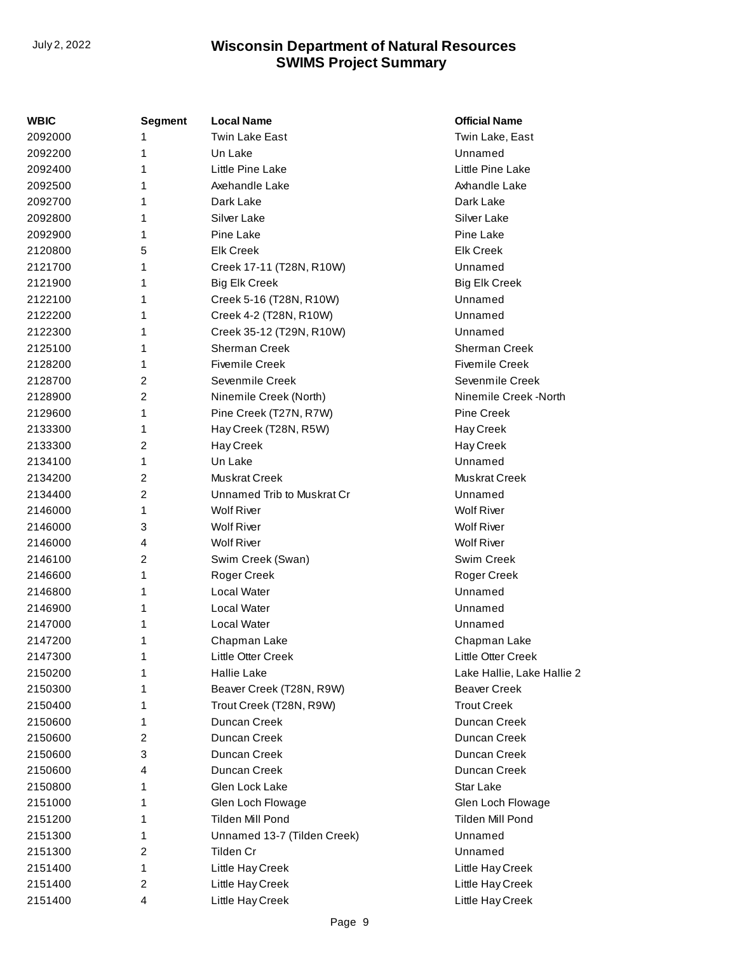| WBIC    | <b>Segment</b> | <b>Local Name</b>           | <b>Official Name</b>       |
|---------|----------------|-----------------------------|----------------------------|
| 2092000 | 1              | Twin Lake East              | Twin Lake, East            |
| 2092200 | 1              | Un Lake                     | Unnamed                    |
| 2092400 | 1              | Little Pine Lake            | Little Pine Lake           |
| 2092500 | 1              | Axehandle Lake              | Axhandle Lake              |
| 2092700 | 1              | Dark Lake                   | Dark Lake                  |
| 2092800 | 1              | Silver Lake                 | Silver Lake                |
| 2092900 | 1              | Pine Lake                   | Pine Lake                  |
| 2120800 | 5              | <b>Elk Creek</b>            | <b>Elk Creek</b>           |
| 2121700 | 1              | Creek 17-11 (T28N, R10W)    | Unnamed                    |
| 2121900 | 1              | <b>Big Elk Creek</b>        | <b>Big Elk Creek</b>       |
| 2122100 | 1              | Creek 5-16 (T28N, R10W)     | Unnamed                    |
| 2122200 | 1              | Creek 4-2 (T28N, R10W)      | Unnamed                    |
| 2122300 | 1              | Creek 35-12 (T29N, R10W)    | Unnamed                    |
| 2125100 | 1              | Sherman Creek               | <b>Sherman Creek</b>       |
| 2128200 | 1              | <b>Fivemile Creek</b>       | <b>Fivemile Creek</b>      |
| 2128700 | 2              | Sevenmile Creek             | Sevenmile Creek            |
| 2128900 | $\overline{2}$ | Ninemile Creek (North)      | Ninemile Creek -North      |
| 2129600 | 1              | Pine Creek (T27N, R7W)      | <b>Pine Creek</b>          |
| 2133300 | 1              | Hay Creek (T28N, R5W)       | Hay Creek                  |
| 2133300 | 2              | Hay Creek                   | Hay Creek                  |
| 2134100 | 1              | Un Lake                     | Unnamed                    |
| 2134200 | 2              | Muskrat Creek               | Muskrat Creek              |
| 2134400 | 2              | Unnamed Trib to Muskrat Cr  | Unnamed                    |
| 2146000 | 1              | <b>Wolf River</b>           | <b>Wolf River</b>          |
| 2146000 | 3              | <b>Wolf River</b>           | <b>Wolf River</b>          |
| 2146000 | 4              | <b>Wolf River</b>           | <b>Wolf River</b>          |
| 2146100 | $\overline{2}$ | Swim Creek (Swan)           | Swim Creek                 |
| 2146600 | 1              | Roger Creek                 | Roger Creek                |
| 2146800 | 1              | Local Water                 | Unnamed                    |
| 2146900 | 1              | Local Water                 | Unnamed                    |
| 2147000 | 1              | Local Water                 | Unnamed                    |
| 2147200 | 1              | Chapman Lake                | Chapman Lake               |
| 2147300 | 1              | Little Otter Creek          | Little Otter Creek         |
| 2150200 | 1              | <b>Hallie Lake</b>          | Lake Hallie, Lake Hallie 2 |
| 2150300 | 1              | Beaver Creek (T28N, R9W)    | <b>Beaver Creek</b>        |
| 2150400 | 1              | Trout Creek (T28N, R9W)     | <b>Trout Creek</b>         |
| 2150600 | 1              | Duncan Creek                | Duncan Creek               |
| 2150600 | 2              | Duncan Creek                | Duncan Creek               |
| 2150600 | 3              | Duncan Creek                | Duncan Creek               |
| 2150600 | 4              | Duncan Creek                | Duncan Creek               |
| 2150800 | 1              | Glen Lock Lake              | Star Lake                  |
| 2151000 | 1              | Glen Loch Flowage           | Glen Loch Flowage          |
| 2151200 | 1              | Tilden Mill Pond            | Tilden Mill Pond           |
| 2151300 | 1              | Unnamed 13-7 (Tilden Creek) | Unnamed                    |
| 2151300 | 2              | Tilden Cr                   | Unnamed                    |
| 2151400 | 1              | Little Hay Creek            | Little Hay Creek           |
| 2151400 | 2              | Little Hay Creek            | Little Hay Creek           |
| 2151400 | 4              | Little Hay Creek            | Little Hay Creek           |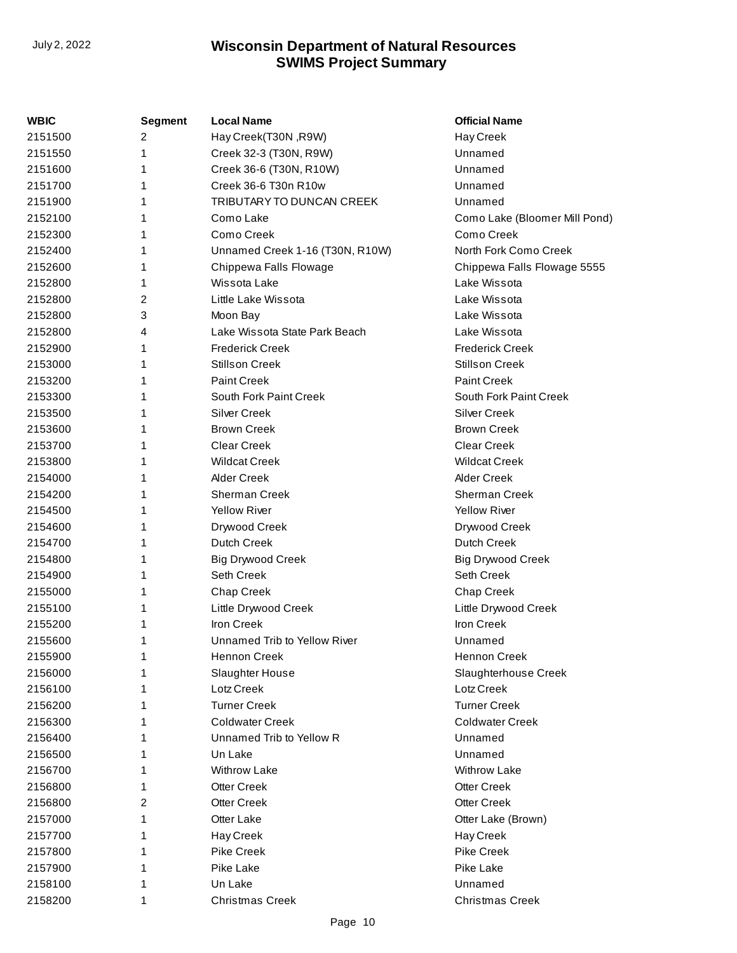| WBIC    | <b>Segment</b> | <b>Local Name</b>               | <b>Official Name</b>          |
|---------|----------------|---------------------------------|-------------------------------|
| 2151500 | 2              | Hay Creek(T30N, R9W)            | Hay Creek                     |
| 2151550 | 1              | Creek 32-3 (T30N, R9W)          | Unnamed                       |
| 2151600 | 1              | Creek 36-6 (T30N, R10W)         | Unnamed                       |
| 2151700 |                | Creek 36-6 T30n R10w            | Unnamed                       |
| 2151900 | 1              | TRIBUTARY TO DUNCAN CREEK       | Unnamed                       |
| 2152100 |                | Como Lake                       | Como Lake (Bloomer Mill Pond) |
| 2152300 | 1              | Como Creek                      | Como Creek                    |
| 2152400 |                | Unnamed Creek 1-16 (T30N, R10W) | North Fork Como Creek         |
| 2152600 | 1              | Chippewa Falls Flowage          | Chippewa Falls Flowage 5555   |
| 2152800 | 1              | Wissota Lake                    | Lake Wissota                  |
| 2152800 | 2              | Little Lake Wissota             | Lake Wissota                  |
| 2152800 | 3              | Moon Bay                        | Lake Wissota                  |
| 2152800 | 4              | Lake Wissota State Park Beach   | Lake Wissota                  |
| 2152900 | 1              | <b>Frederick Creek</b>          | <b>Frederick Creek</b>        |
| 2153000 |                | <b>Stillson Creek</b>           | <b>Stillson Creek</b>         |
| 2153200 |                | <b>Paint Creek</b>              | <b>Paint Creek</b>            |
| 2153300 | 1              | South Fork Paint Creek          | South Fork Paint Creek        |
| 2153500 | 1              | <b>Silver Creek</b>             | <b>Silver Creek</b>           |
| 2153600 |                | <b>Brown Creek</b>              | <b>Brown Creek</b>            |
| 2153700 |                | <b>Clear Creek</b>              | <b>Clear Creek</b>            |
| 2153800 |                | <b>Wildcat Creek</b>            | <b>Wildcat Creek</b>          |
| 2154000 |                | <b>Alder Creek</b>              | <b>Alder Creek</b>            |
| 2154200 |                | Sherman Creek                   | Sherman Creek                 |
| 2154500 |                | <b>Yellow River</b>             | <b>Yellow River</b>           |
| 2154600 | 1              | Drywood Creek                   | Drywood Creek                 |
| 2154700 | 1              | Dutch Creek                     | <b>Dutch Creek</b>            |
| 2154800 |                | <b>Big Drywood Creek</b>        | <b>Big Drywood Creek</b>      |
| 2154900 |                | Seth Creek                      | Seth Creek                    |
| 2155000 | 1              | Chap Creek                      | <b>Chap Creek</b>             |
| 2155100 | 1              | Little Drywood Creek            | Little Drywood Creek          |
| 2155200 |                | Iron Creek                      | Iron Creek                    |
| 2155600 | 1              | Unnamed Trib to Yellow River    | Unnamed                       |
| 2155900 |                | Hennon Creek                    | Hennon Creek                  |
| 2156000 |                | Slaughter House                 | Slaughterhouse Creek          |
| 2156100 |                | Lotz Creek                      | Lotz Creek                    |
| 2156200 |                | <b>Turner Creek</b>             | <b>Turner Creek</b>           |
| 2156300 |                | <b>Coldwater Creek</b>          | <b>Coldwater Creek</b>        |
| 2156400 |                | Unnamed Trib to Yellow R        | Unnamed                       |
| 2156500 |                | Un Lake                         | Unnamed                       |
| 2156700 |                | <b>Withrow Lake</b>             | <b>Withrow Lake</b>           |
| 2156800 |                | <b>Otter Creek</b>              | <b>Otter Creek</b>            |
| 2156800 | 2              | <b>Otter Creek</b>              | <b>Otter Creek</b>            |
| 2157000 | 1              | Otter Lake                      | Otter Lake (Brown)            |
| 2157700 |                | Hay Creek                       | Hay Creek                     |
| 2157800 |                | <b>Pike Creek</b>               | <b>Pike Creek</b>             |
| 2157900 |                | Pike Lake                       | Pike Lake                     |
| 2158100 |                | Un Lake                         | Unnamed                       |
| 2158200 | 1              | <b>Christmas Creek</b>          | <b>Christmas Creek</b>        |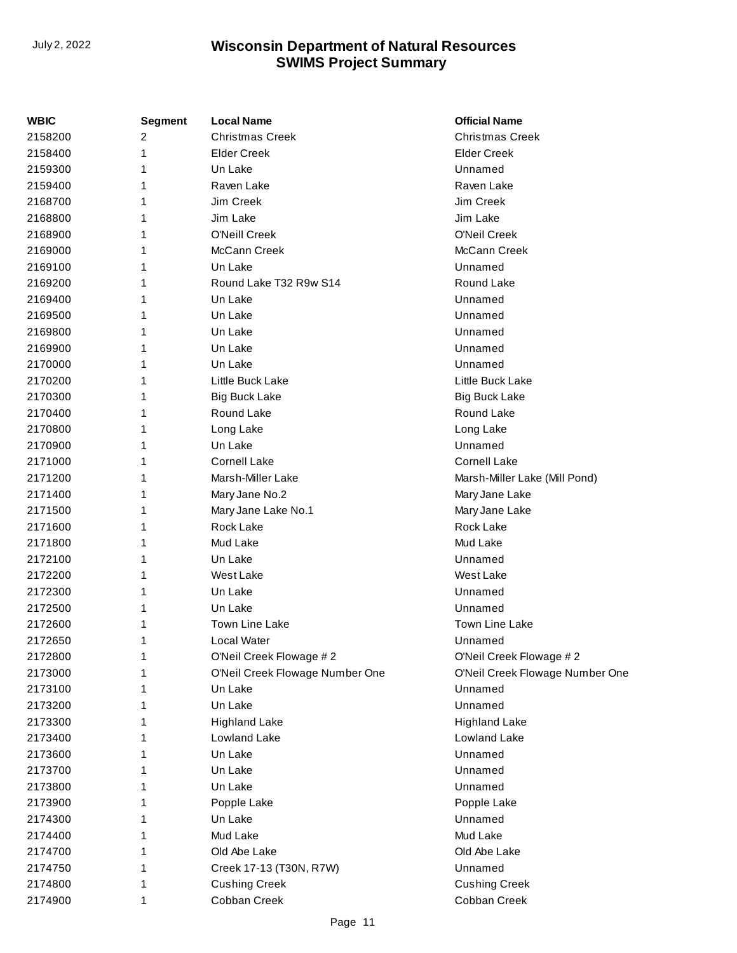| WBIC    | Segment | <b>Local Name</b>               | <b>Official Name</b>            |
|---------|---------|---------------------------------|---------------------------------|
| 2158200 | 2       | <b>Christmas Creek</b>          | <b>Christmas Creek</b>          |
| 2158400 | 1       | <b>Elder Creek</b>              | <b>Elder Creek</b>              |
| 2159300 | 1       | Un Lake                         | Unnamed                         |
| 2159400 | 1       | Raven Lake                      | Raven Lake                      |
| 2168700 | 1       | Jim Creek                       | Jim Creek                       |
| 2168800 | 1       | Jim Lake                        | Jim Lake                        |
| 2168900 | 1       | O'Neill Creek                   | O'Neil Creek                    |
| 2169000 | 1       | McCann Creek                    | McCann Creek                    |
| 2169100 | 1       | Un Lake                         | Unnamed                         |
| 2169200 | 1       | Round Lake T32 R9w S14          | Round Lake                      |
| 2169400 | 1       | Un Lake                         | Unnamed                         |
| 2169500 | 1       | Un Lake                         | Unnamed                         |
| 2169800 | 1       | Un Lake                         | Unnamed                         |
| 2169900 | 1       | Un Lake                         | Unnamed                         |
| 2170000 | 1       | Un Lake                         | Unnamed                         |
| 2170200 | 1       | Little Buck Lake                | Little Buck Lake                |
| 2170300 | 1       | <b>Big Buck Lake</b>            | <b>Big Buck Lake</b>            |
| 2170400 | 1       | Round Lake                      | Round Lake                      |
| 2170800 | 1       | Long Lake                       | Long Lake                       |
| 2170900 | 1       | Un Lake                         | Unnamed                         |
| 2171000 | 1       | <b>Cornell Lake</b>             | <b>Cornell Lake</b>             |
| 2171200 | 1       | Marsh-Miller Lake               | Marsh-Miller Lake (Mill Pond)   |
| 2171400 | 1       | Mary Jane No.2                  | Mary Jane Lake                  |
| 2171500 | 1       | Mary Jane Lake No.1             | Mary Jane Lake                  |
| 2171600 | 1       | Rock Lake                       | Rock Lake                       |
| 2171800 | 1       | Mud Lake                        | Mud Lake                        |
| 2172100 | 1       | Un Lake                         | Unnamed                         |
| 2172200 | 1       | West Lake                       | <b>West Lake</b>                |
| 2172300 | 1       | Un Lake                         | Unnamed                         |
| 2172500 | 1       | Un Lake                         | Unnamed                         |
| 2172600 | 1       | Town Line Lake                  | <b>Town Line Lake</b>           |
| 2172650 | 1       | Local Water                     | Unnamed                         |
| 2172800 | 1       | O'Neil Creek Flowage #2         | O'Neil Creek Flowage #2         |
| 2173000 | 1       | O'Neil Creek Flowage Number One | O'Neil Creek Flowage Number One |
| 2173100 | 1       | Un Lake                         | Unnamed                         |
| 2173200 | 1       | Un Lake                         | Unnamed                         |
| 2173300 | 1       | <b>Highland Lake</b>            | <b>Highland Lake</b>            |
| 2173400 | 1       | Lowland Lake                    | Lowland Lake                    |
| 2173600 | 1       | Un Lake                         | Unnamed                         |
| 2173700 | 1       | Un Lake                         | Unnamed                         |
| 2173800 | 1       | Un Lake                         | Unnamed                         |
| 2173900 | 1       | Popple Lake                     | Popple Lake                     |
| 2174300 | 1       | Un Lake                         | Unnamed                         |
| 2174400 | 1       | Mud Lake                        | Mud Lake                        |
| 2174700 | 1       | Old Abe Lake                    | Old Abe Lake                    |
| 2174750 | 1       | Creek 17-13 (T30N, R7W)         | Unnamed                         |
| 2174800 | 1       | <b>Cushing Creek</b>            | <b>Cushing Creek</b>            |
| 2174900 | 1       | Cobban Creek                    | Cobban Creek                    |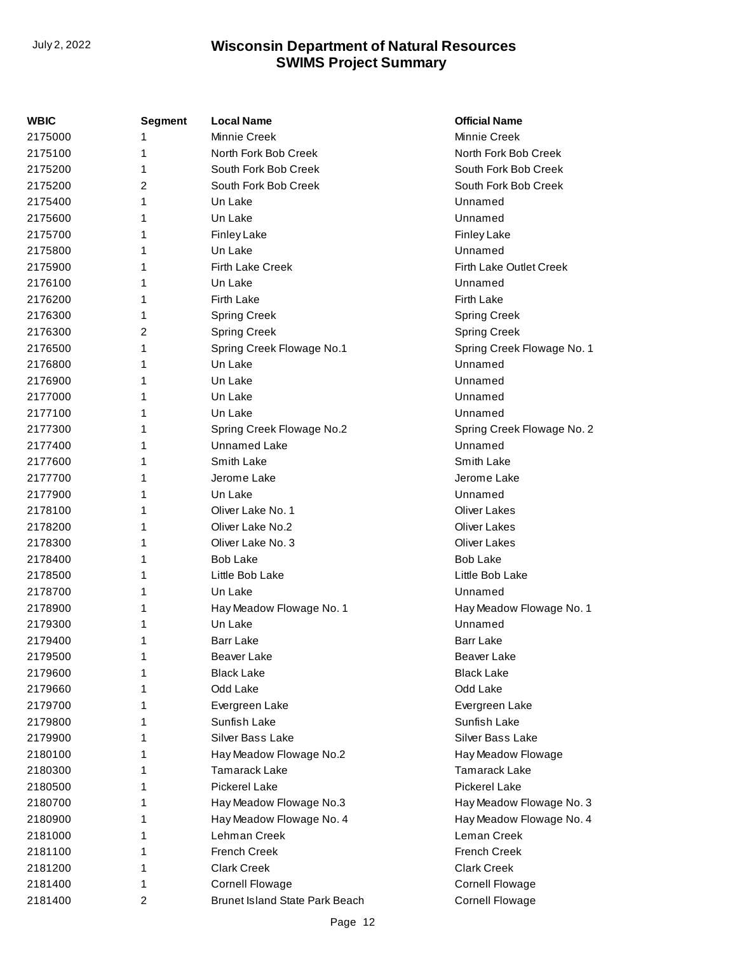| WBIC    | <b>Segment</b> | <b>Local Name</b>              | <b>Official Name</b>       |
|---------|----------------|--------------------------------|----------------------------|
| 2175000 |                | <b>Minnie Creek</b>            | Minnie Creek               |
| 2175100 | 1              | North Fork Bob Creek           | North Fork Bob Creek       |
| 2175200 | 1              | South Fork Bob Creek           | South Fork Bob Creek       |
| 2175200 | 2              | South Fork Bob Creek           | South Fork Bob Creek       |
| 2175400 | 1              | Un Lake                        | Unnamed                    |
| 2175600 | 1              | Un Lake                        | Unnamed                    |
| 2175700 |                | <b>Finley Lake</b>             | <b>Finley Lake</b>         |
| 2175800 | 1              | Un Lake                        | Unnamed                    |
| 2175900 | 1              | <b>Firth Lake Creek</b>        | Firth Lake Outlet Creek    |
| 2176100 | 1              | Un Lake                        | Unnamed                    |
| 2176200 |                | <b>Firth Lake</b>              | Firth Lake                 |
| 2176300 | 1              | <b>Spring Creek</b>            | <b>Spring Creek</b>        |
| 2176300 | 2              | <b>Spring Creek</b>            | <b>Spring Creek</b>        |
| 2176500 | 1              | Spring Creek Flowage No.1      | Spring Creek Flowage No. 1 |
| 2176800 |                | Un Lake                        | Unnamed                    |
| 2176900 |                | Un Lake                        | Unnamed                    |
| 2177000 | 1              | Un Lake                        | Unnamed                    |
| 2177100 | 1              | Un Lake                        | Unnamed                    |
| 2177300 | 1              | Spring Creek Flowage No.2      | Spring Creek Flowage No. 2 |
| 2177400 | 1              | <b>Unnamed Lake</b>            | Unnamed                    |
| 2177600 | 1              | Smith Lake                     | Smith Lake                 |
| 2177700 | 1              | Jerome Lake                    | Jerome Lake                |
| 2177900 |                | Un Lake                        | Unnamed                    |
| 2178100 | 1              | Oliver Lake No. 1              | <b>Oliver Lakes</b>        |
| 2178200 | 1              | Oliver Lake No.2               | <b>Oliver Lakes</b>        |
| 2178300 | 1              | Oliver Lake No. 3              | <b>Oliver Lakes</b>        |
| 2178400 |                | <b>Bob Lake</b>                | <b>Bob Lake</b>            |
| 2178500 | 1              | Little Bob Lake                | Little Bob Lake            |
| 2178700 | 1              | Un Lake                        | Unnamed                    |
| 2178900 | 1              | Hay Meadow Flowage No. 1       | Hay Meadow Flowage No. 1   |
| 2179300 |                | Un Lake                        | Unnamed                    |
| 2179400 | 1              | <b>Barr Lake</b>               | <b>Barr Lake</b>           |
| 2179500 | 1              | Beaver Lake                    | <b>Beaver Lake</b>         |
| 2179600 |                | <b>Black Lake</b>              | <b>Black Lake</b>          |
| 2179660 |                | Odd Lake                       | Odd Lake                   |
| 2179700 |                | Evergreen Lake                 | Evergreen Lake             |
| 2179800 |                | Sunfish Lake                   | Sunfish Lake               |
| 2179900 |                | Silver Bass Lake               | Silver Bass Lake           |
| 2180100 |                | Hay Meadow Flowage No.2        | Hay Meadow Flowage         |
| 2180300 |                | <b>Tamarack Lake</b>           | <b>Tamarack Lake</b>       |
| 2180500 | 1              | Pickerel Lake                  | <b>Pickerel Lake</b>       |
| 2180700 |                | Hay Meadow Flowage No.3        | Hay Meadow Flowage No. 3   |
| 2180900 |                | Hay Meadow Flowage No. 4       | Hay Meadow Flowage No. 4   |
| 2181000 |                | Lehman Creek                   | Leman Creek                |
| 2181100 |                | <b>French Creek</b>            | <b>French Creek</b>        |
| 2181200 |                | <b>Clark Creek</b>             | <b>Clark Creek</b>         |
| 2181400 |                | <b>Cornell Flowage</b>         | <b>Cornell Flowage</b>     |
| 2181400 | 2              | Brunet Island State Park Beach | <b>Cornell Flowage</b>     |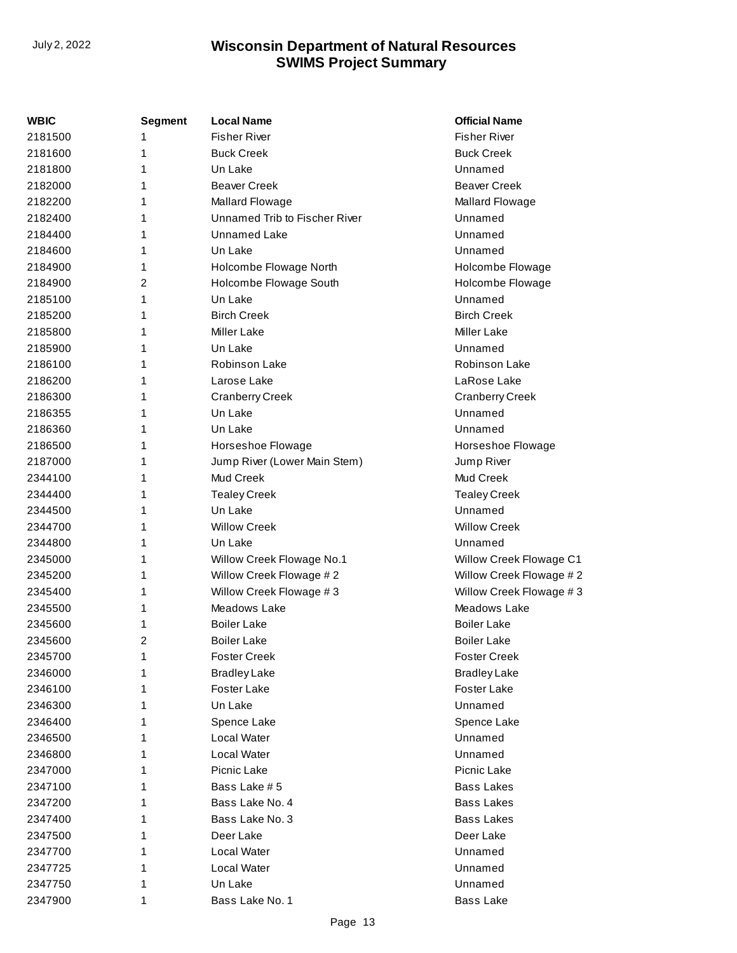| WBIC    | <b>Segment</b> | <b>Local Name</b>             | <b>Official Name</b>    |
|---------|----------------|-------------------------------|-------------------------|
| 2181500 | 1              | <b>Fisher River</b>           | <b>Fisher River</b>     |
| 2181600 | 1              | <b>Buck Creek</b>             | <b>Buck Creek</b>       |
| 2181800 | 1              | Un Lake                       | Unnamed                 |
| 2182000 | 1              | <b>Beaver Creek</b>           | <b>Beaver Creek</b>     |
| 2182200 | 1              | Mallard Flowage               | Mallard Flowage         |
| 2182400 | 1              | Unnamed Trib to Fischer River | Unnamed                 |
| 2184400 | 1              | <b>Unnamed Lake</b>           | Unnamed                 |
| 2184600 | 1              | Un Lake                       | Unnamed                 |
| 2184900 | 1              | Holcombe Flowage North        | Holcombe Flowage        |
| 2184900 | $\overline{2}$ | Holcombe Flowage South        | Holcombe Flowage        |
| 2185100 | 1              | Un Lake                       | Unnamed                 |
| 2185200 | 1              | <b>Birch Creek</b>            | <b>Birch Creek</b>      |
| 2185800 | 1              | <b>Miller Lake</b>            | <b>Miller Lake</b>      |
| 2185900 | 1              | Un Lake                       | Unnamed                 |
| 2186100 | 1              | Robinson Lake                 | Robinson Lake           |
| 2186200 | 1              | Larose Lake                   | LaRose Lake             |
| 2186300 | 1              | <b>Cranberry Creek</b>        | <b>Cranberry Creek</b>  |
| 2186355 | 1              | Un Lake                       | Unnamed                 |
| 2186360 | 1              | Un Lake                       | Unnamed                 |
| 2186500 | 1              | Horseshoe Flowage             | Horseshoe Flowage       |
| 2187000 | 1              | Jump River (Lower Main Stem)  | Jump River              |
| 2344100 | 1              | Mud Creek                     | Mud Creek               |
| 2344400 | 1              | <b>Tealey Creek</b>           | <b>Tealey Creek</b>     |
| 2344500 | 1              | Un Lake                       | Unnamed                 |
| 2344700 | 1              | <b>Willow Creek</b>           | <b>Willow Creek</b>     |
| 2344800 | 1              | Un Lake                       | Unnamed                 |
| 2345000 | 1              | Willow Creek Flowage No.1     | Willow Creek Flowage C1 |
| 2345200 | 1              | Willow Creek Flowage #2       | Willow Creek Flowage #2 |
| 2345400 | 1              | Willow Creek Flowage #3       | Willow Creek Flowage #3 |
| 2345500 | 1              | Meadows Lake                  | Meadows Lake            |
| 2345600 | 1              | <b>Boiler Lake</b>            | <b>Boiler Lake</b>      |
| 2345600 | $\overline{2}$ | <b>Boiler Lake</b>            | <b>Boiler Lake</b>      |
| 2345700 | 1              | <b>Foster Creek</b>           | <b>Foster Creek</b>     |
| 2346000 | 1              | <b>Bradley Lake</b>           | <b>Bradley Lake</b>     |
| 2346100 | 1              | Foster Lake                   | Foster Lake             |
| 2346300 | 1              | Un Lake                       | Unnamed                 |
| 2346400 | 1              | Spence Lake                   | Spence Lake             |
| 2346500 | 1              | Local Water                   | Unnamed                 |
| 2346800 | 1              | Local Water                   | Unnamed                 |
| 2347000 | 1              | Picnic Lake                   | Picnic Lake             |
| 2347100 | 1              | Bass Lake #5                  | <b>Bass Lakes</b>       |
| 2347200 | 1              | Bass Lake No. 4               | <b>Bass Lakes</b>       |
| 2347400 | 1              | Bass Lake No. 3               | <b>Bass Lakes</b>       |
| 2347500 | 1              | Deer Lake                     | Deer Lake               |
| 2347700 | 1              | Local Water                   | Unnamed                 |
| 2347725 | 1              | Local Water                   | Unnamed                 |
| 2347750 | 1              | Un Lake                       | Unnamed                 |
| 2347900 | 1              | Bass Lake No. 1               | <b>Bass Lake</b>        |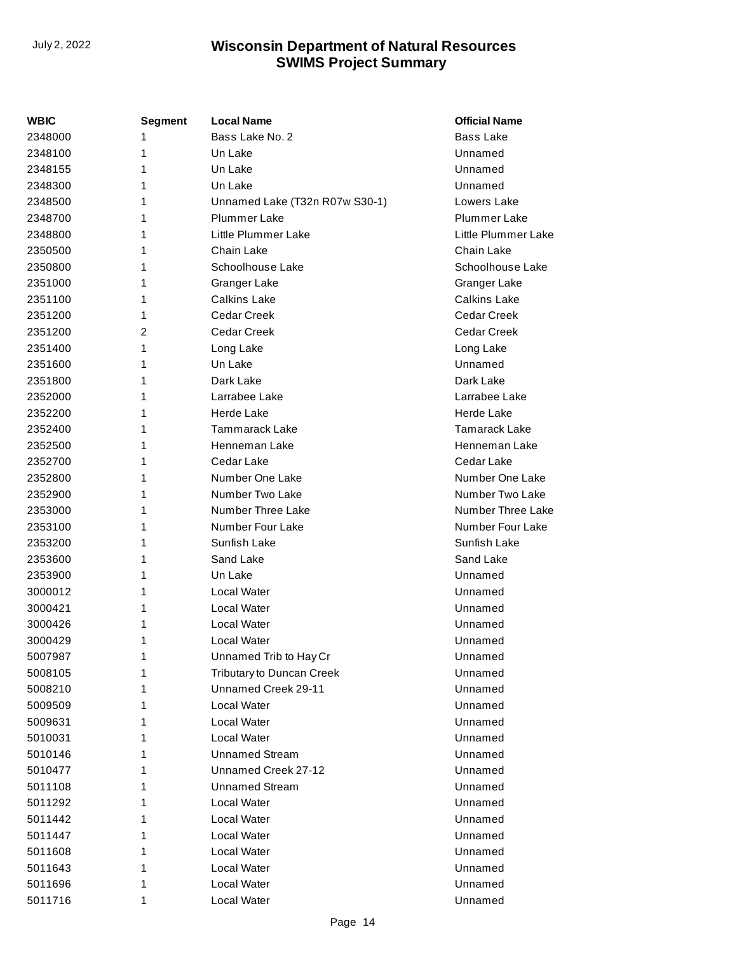| WBIC    | Segment | Local Name                     | <b>Official Name</b> |
|---------|---------|--------------------------------|----------------------|
| 2348000 | 1       | Bass Lake No. 2                | <b>Bass Lake</b>     |
| 2348100 | 1       | Un Lake                        | Unnamed              |
| 2348155 | 1       | Un Lake                        | Unnamed              |
| 2348300 | 1       | Un Lake                        | Unnamed              |
| 2348500 | 1       | Unnamed Lake (T32n R07w S30-1) | Lowers Lake          |
| 2348700 | 1       | <b>Plummer Lake</b>            | <b>Plummer Lake</b>  |
| 2348800 | 1       | Little Plummer Lake            | Little Plummer Lake  |
| 2350500 | 1       | Chain Lake                     | Chain Lake           |
| 2350800 | 1       | Schoolhouse Lake               | Schoolhouse Lake     |
| 2351000 | 1       | Granger Lake                   | Granger Lake         |
| 2351100 | 1       | <b>Calkins Lake</b>            | <b>Calkins Lake</b>  |
| 2351200 | 1       | Cedar Creek                    | Cedar Creek          |
| 2351200 | 2       | <b>Cedar Creek</b>             | <b>Cedar Creek</b>   |
| 2351400 | 1       | Long Lake                      | Long Lake            |
| 2351600 | 1       | Un Lake                        | Unnamed              |
| 2351800 | 1       | Dark Lake                      | Dark Lake            |
| 2352000 | 1       | Larrabee Lake                  | Larrabee Lake        |
| 2352200 | 1       | <b>Herde Lake</b>              | Herde Lake           |
| 2352400 | 1       | Tammarack Lake                 | Tamarack Lake        |
| 2352500 | 1       | Henneman Lake                  | Henneman Lake        |
| 2352700 | 1       | Cedar Lake                     | Cedar Lake           |
| 2352800 | 1       | Number One Lake                | Number One Lake      |
| 2352900 | 1       | Number Two Lake                | Number Two Lake      |
| 2353000 | 1       | Number Three Lake              | Number Three Lake    |
| 2353100 | 1       | Number Four Lake               | Number Four Lake     |
| 2353200 | 1       | Sunfish Lake                   | Sunfish Lake         |
| 2353600 | 1       | Sand Lake                      | Sand Lake            |
| 2353900 | 1       | Un Lake                        | Unnamed              |
| 3000012 | 1       | Local Water                    | Unnamed              |
| 3000421 | 1       | Local Water                    | Unnamed              |
| 3000426 | 1       | Local Water                    | Unnamed              |
| 3000429 | 1       | Local Water                    | Unnamed              |
| 5007987 | 1       | Unnamed Trib to Hay Cr         | Unnamed              |
| 5008105 | 1       | Tributary to Duncan Creek      | Unnamed              |
| 5008210 | 1       | Unnamed Creek 29-11            | Unnamed              |
| 5009509 | 1       | Local Water                    | Unnamed              |
| 5009631 | 1       | Local Water                    | Unnamed              |
| 5010031 | 1       | Local Water                    | Unnamed              |
| 5010146 | 1       | <b>Unnamed Stream</b>          | Unnamed              |
| 5010477 | 1       | Unnamed Creek 27-12            | Unnamed              |
| 5011108 | 1       | <b>Unnamed Stream</b>          | Unnamed              |
| 5011292 | 1       | Local Water                    | Unnamed              |
| 5011442 | 1       | Local Water                    | Unnamed              |
| 5011447 | 1       | Local Water                    | Unnamed              |
| 5011608 | 1       | Local Water                    | Unnamed              |
| 5011643 | 1       | Local Water                    | Unnamed              |
| 5011696 | 1       | Local Water                    | Unnamed              |
| 5011716 | 1       | Local Water                    | Unnamed              |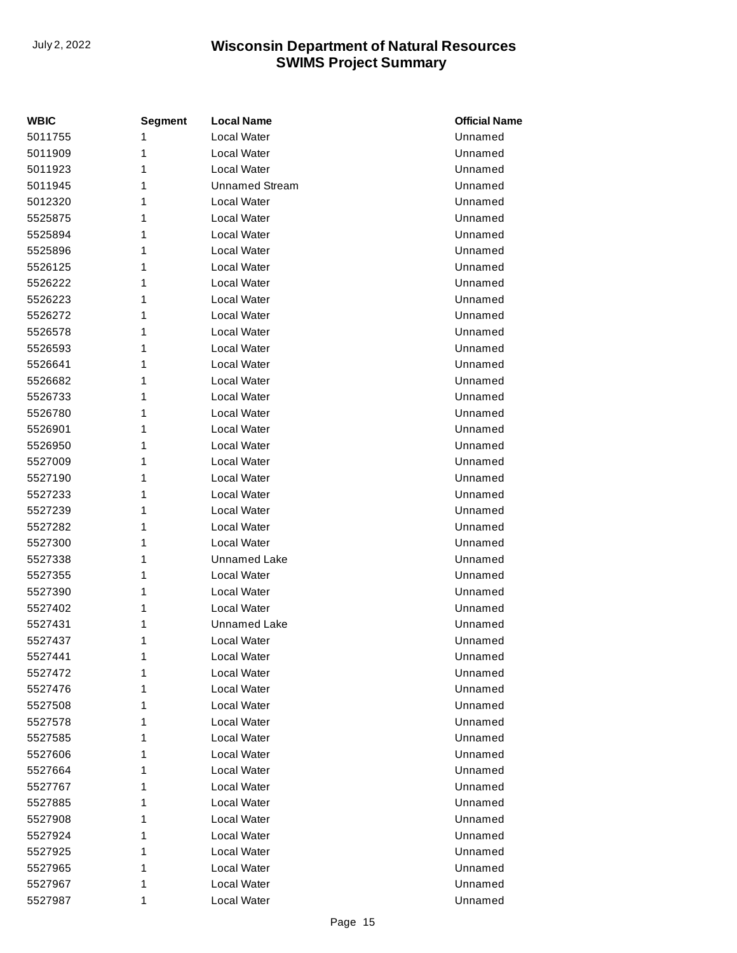| <b>WBIC</b> | <b>Segment</b> | <b>Local Name</b>     | <b>Official Name</b> |
|-------------|----------------|-----------------------|----------------------|
| 5011755     | 1              | Local Water           | Unnamed              |
| 5011909     | 1              | Local Water           | Unnamed              |
| 5011923     | 1              | Local Water           | Unnamed              |
| 5011945     | 1              | <b>Unnamed Stream</b> | Unnamed              |
| 5012320     | 1              | Local Water           | Unnamed              |
| 5525875     | 1              | Local Water           | Unnamed              |
| 5525894     | 1              | Local Water           | Unnamed              |
| 5525896     | 1              | Local Water           | Unnamed              |
| 5526125     | 1              | Local Water           | Unnamed              |
| 5526222     | 1              | Local Water           | Unnamed              |
| 5526223     | 1              | Local Water           | Unnamed              |
| 5526272     | 1              | Local Water           | Unnamed              |
| 5526578     | 1              | Local Water           | Unnamed              |
| 5526593     | 1              | Local Water           | Unnamed              |
| 5526641     | 1              | Local Water           | Unnamed              |
| 5526682     | 1              | Local Water           | Unnamed              |
| 5526733     | 1              | Local Water           | Unnamed              |
| 5526780     | 1              | Local Water           | Unnamed              |
| 5526901     | 1              | Local Water           | Unnamed              |
| 5526950     | 1              | Local Water           | Unnamed              |
| 5527009     | 1              | Local Water           | Unnamed              |
| 5527190     | 1              | Local Water           | Unnamed              |
| 5527233     | 1              | Local Water           | Unnamed              |
| 5527239     | 1              | Local Water           | Unnamed              |
| 5527282     | 1              | Local Water           | Unnamed              |
| 5527300     | 1              | Local Water           | Unnamed              |
| 5527338     | 1              | Unnamed Lake          | Unnamed              |
| 5527355     | 1              | Local Water           | Unnamed              |
| 5527390     | 1              | Local Water           | Unnamed              |
| 5527402     | 1              | Local Water           | Unnamed              |
| 5527431     | 1              | Unnamed Lake          | Unnamed              |
| 5527437     | 1              | Local Water           | Unnamed              |
| 5527441     | 1              | Local Water           | Unnamed              |
| 5527472     | 1              | Local Water           | Unnamed              |
| 5527476     | 1              | Local Water           | Unnamed              |
| 5527508     | 1              | Local Water           | Unnamed              |
| 5527578     | 1              | Local Water           | Unnamed              |
| 5527585     | 1              | Local Water           | Unnamed              |
| 5527606     | 1              | Local Water           | Unnamed              |
| 5527664     | 1              | Local Water           | Unnamed              |
| 5527767     | 1              | Local Water           | Unnamed              |
| 5527885     | 1              | Local Water           | Unnamed              |
| 5527908     | 1              | Local Water           | Unnamed              |
| 5527924     | 1              | Local Water           | Unnamed              |
| 5527925     | 1              | Local Water           | Unnamed              |
| 5527965     | 1              | Local Water           | Unnamed              |
| 5527967     | 1              | Local Water           | Unnamed              |
| 5527987     | 1              | Local Water           | Unnamed              |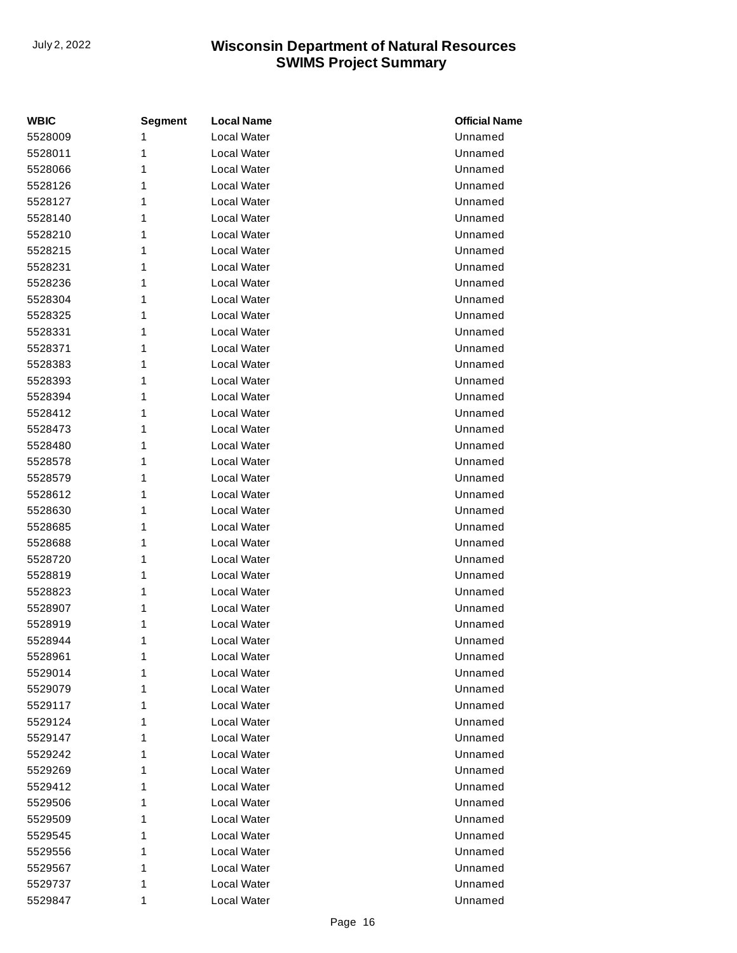| <b>WBIC</b> | <b>Segment</b> | <b>Local Name</b>  | <b>Official Name</b> |
|-------------|----------------|--------------------|----------------------|
| 5528009     | 1              | <b>Local Water</b> | Unnamed              |
| 5528011     | 1              | Local Water        | Unnamed              |
| 5528066     | 1              | Local Water        | Unnamed              |
| 5528126     | 1              | Local Water        | Unnamed              |
| 5528127     | 1              | Local Water        | Unnamed              |
| 5528140     | 1              | Local Water        | Unnamed              |
| 5528210     | 1              | Local Water        | Unnamed              |
| 5528215     | 1              | Local Water        | Unnamed              |
| 5528231     | 1              | Local Water        | Unnamed              |
| 5528236     | 1              | Local Water        | Unnamed              |
| 5528304     | 1              | Local Water        | Unnamed              |
| 5528325     | 1              | Local Water        | Unnamed              |
| 5528331     | 1              | Local Water        | Unnamed              |
| 5528371     | 1              | Local Water        | Unnamed              |
| 5528383     | 1              | Local Water        | Unnamed              |
| 5528393     | 1              | <b>Local Water</b> | Unnamed              |
| 5528394     | 1              | Local Water        | Unnamed              |
| 5528412     | 1              | Local Water        | Unnamed              |
| 5528473     | 1              | Local Water        | Unnamed              |
| 5528480     | 1              | Local Water        | Unnamed              |
| 5528578     | 1              | Local Water        | Unnamed              |
| 5528579     | 1              | Local Water        | Unnamed              |
| 5528612     | 1              | Local Water        | Unnamed              |
| 5528630     | 1              | <b>Local Water</b> | Unnamed              |
| 5528685     | 1              | Local Water        | Unnamed              |
| 5528688     | 1              | Local Water        | Unnamed              |
| 5528720     | 1              | Local Water        | Unnamed              |
| 5528819     | 1              | Local Water        | Unnamed              |
| 5528823     | 1              | Local Water        | Unnamed              |
| 5528907     | 1              | Local Water        | Unnamed              |
| 5528919     | 1              | Local Water        | Unnamed              |
| 5528944     | 1              | Local Water        | Unnamed              |
| 5528961     | 1              | Local Water        | Unnamed              |
| 5529014     | 1              | Local Water        | Unnamed              |
| 5529079     | 1              | Local Water        | Unnamed              |
| 5529117     | 1              | Local Water        | Unnamed              |
| 5529124     | 1              | Local Water        | Unnamed              |
| 5529147     | 1              | Local Water        | Unnamed              |
| 5529242     | 1              | Local Water        | Unnamed              |
| 5529269     | 1              | Local Water        | Unnamed              |
| 5529412     | 1              | Local Water        | Unnamed              |
| 5529506     | 1              | Local Water        | Unnamed              |
| 5529509     | 1              | Local Water        | Unnamed              |
| 5529545     | 1              | Local Water        | Unnamed              |
| 5529556     | 1              | Local Water        | Unnamed              |
| 5529567     | 1              | Local Water        | Unnamed              |
| 5529737     | 1              | Local Water        | Unnamed              |
| 5529847     | 1              | Local Water        | Unnamed              |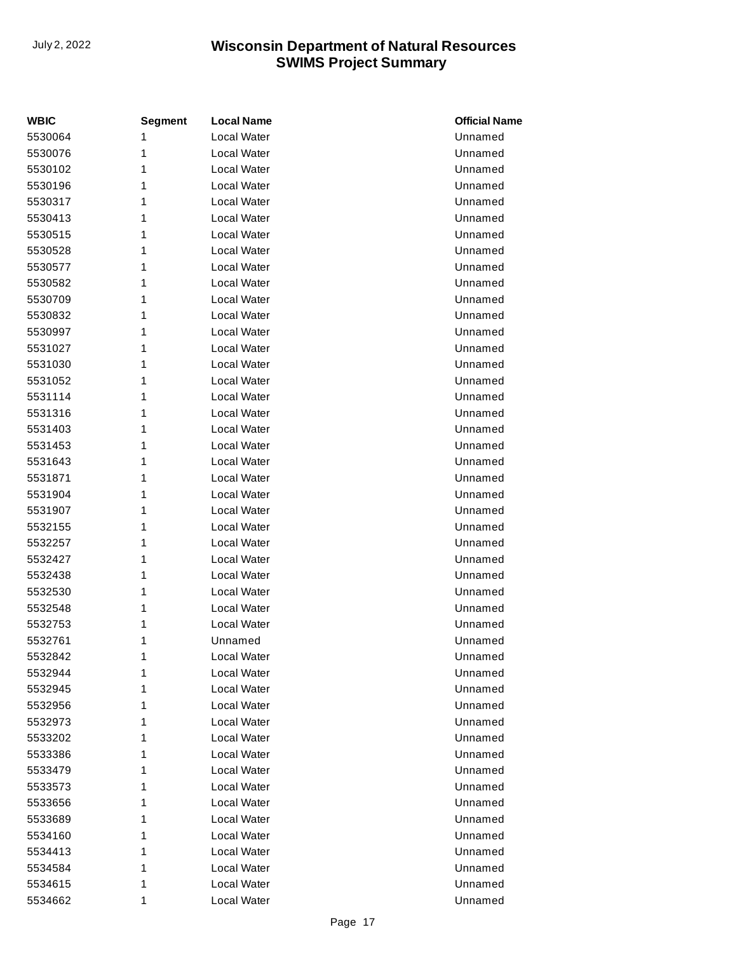| <b>WBIC</b> | <b>Segment</b> | <b>Local Name</b>  | <b>Official Name</b> |
|-------------|----------------|--------------------|----------------------|
| 5530064     | 1              | Local Water        | Unnamed              |
| 5530076     | 1              | Local Water        | Unnamed              |
| 5530102     | 1              | Local Water        | Unnamed              |
| 5530196     | 1              | Local Water        | Unnamed              |
| 5530317     | 1              | Local Water        | Unnamed              |
| 5530413     | 1              | Local Water        | Unnamed              |
| 5530515     | 1              | Local Water        | Unnamed              |
| 5530528     | 1              | Local Water        | Unnamed              |
| 5530577     | 1              | Local Water        | Unnamed              |
| 5530582     | 1              | Local Water        | Unnamed              |
| 5530709     | 1              | Local Water        | Unnamed              |
| 5530832     | 1              | Local Water        | Unnamed              |
| 5530997     | 1              | Local Water        | Unnamed              |
| 5531027     | 1              | Local Water        | Unnamed              |
| 5531030     | 1              | Local Water        | Unnamed              |
| 5531052     | 1              | Local Water        | Unnamed              |
| 5531114     | 1              | Local Water        | Unnamed              |
| 5531316     | 1              | Local Water        | Unnamed              |
| 5531403     | 1              | Local Water        | Unnamed              |
| 5531453     | 1              | Local Water        | Unnamed              |
| 5531643     | 1              | Local Water        | Unnamed              |
| 5531871     | 1              | Local Water        | Unnamed              |
| 5531904     | 1              | Local Water        | Unnamed              |
| 5531907     | 1              | Local Water        | Unnamed              |
| 5532155     | 1              | Local Water        | Unnamed              |
| 5532257     | 1              | Local Water        | Unnamed              |
| 5532427     | 1              | Local Water        | Unnamed              |
| 5532438     | 1              | Local Water        | Unnamed              |
| 5532530     | 1              | Local Water        | Unnamed              |
| 5532548     | 1              | Local Water        | Unnamed              |
| 5532753     | 1              | Local Water        | Unnamed              |
| 5532761     | 1              | Unnamed            | Unnamed              |
| 5532842     | 1              | <b>Local Water</b> | Unnamed              |
| 5532944     | 1              | Local Water        | Unnamed              |
| 5532945     | 1              | Local Water        | Unnamed              |
| 5532956     | 1              | Local Water        | Unnamed              |
| 5532973     | 1              | Local Water        | Unnamed              |
| 5533202     | 1              | Local Water        | Unnamed              |
| 5533386     | 1              | Local Water        | Unnamed              |
| 5533479     | 1              | Local Water        | Unnamed              |
| 5533573     | 1              | Local Water        | Unnamed              |
| 5533656     | 1              | Local Water        | Unnamed              |
| 5533689     | 1              | Local Water        | Unnamed              |
| 5534160     | 1              | Local Water        | Unnamed              |
| 5534413     | 1              | Local Water        | Unnamed              |
| 5534584     | 1              | Local Water        | Unnamed              |
| 5534615     | 1              | Local Water        | Unnamed              |
| 5534662     | 1              | Local Water        | Unnamed              |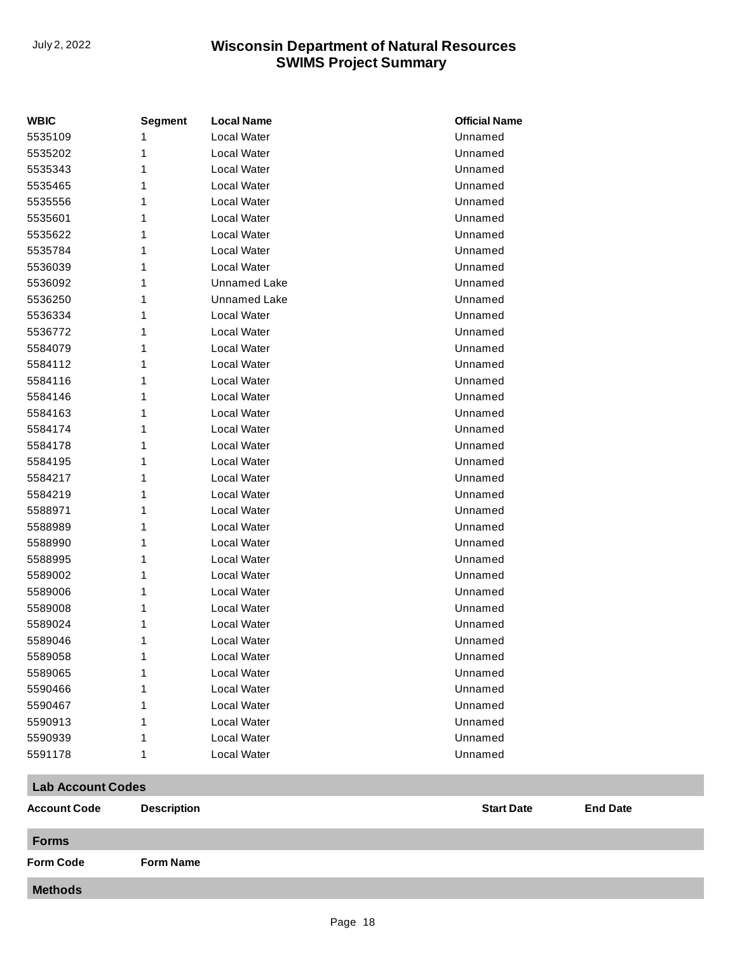| <b>WBIC</b> | <b>Segment</b> | <b>Local Name</b>  | <b>Official Name</b> |
|-------------|----------------|--------------------|----------------------|
| 5535109     | 1              | <b>Local Water</b> | Unnamed              |
| 5535202     | 1              | <b>Local Water</b> | Unnamed              |
| 5535343     | 1              | Local Water        | Unnamed              |
| 5535465     | 1              | <b>Local Water</b> | Unnamed              |
| 5535556     | 1              | <b>Local Water</b> | Unnamed              |
| 5535601     | 1              | <b>Local Water</b> | Unnamed              |
| 5535622     | 1              | Local Water        | Unnamed              |
| 5535784     | 1              | Local Water        | Unnamed              |
| 5536039     | 1              | <b>Local Water</b> | Unnamed              |
| 5536092     | 1              | Unnamed Lake       | Unnamed              |
| 5536250     | 1              | Unnamed Lake       | Unnamed              |
| 5536334     | 1              | <b>Local Water</b> | Unnamed              |
| 5536772     | 1              | Local Water        | Unnamed              |
| 5584079     | 1              | <b>Local Water</b> | Unnamed              |
| 5584112     | 1              | <b>Local Water</b> | Unnamed              |
| 5584116     | 1              | Local Water        | Unnamed              |
| 5584146     | 1              | <b>Local Water</b> | Unnamed              |
| 5584163     | 1              | <b>Local Water</b> | Unnamed              |
| 5584174     | 1              | <b>Local Water</b> | Unnamed              |
| 5584178     | 1              | <b>Local Water</b> | Unnamed              |
| 5584195     | 1              | Local Water        | Unnamed              |
| 5584217     | 1              | <b>Local Water</b> | Unnamed              |
| 5584219     | 1              | Local Water        | Unnamed              |
| 5588971     | 1              | Local Water        | Unnamed              |
| 5588989     | 1              | <b>Local Water</b> | Unnamed              |
| 5588990     | 1              | <b>Local Water</b> | Unnamed              |
| 5588995     | 1              | <b>Local Water</b> | Unnamed              |
| 5589002     | 1              | <b>Local Water</b> | Unnamed              |
| 5589006     | 1              | Local Water        | Unnamed              |
| 5589008     | 1              | <b>Local Water</b> | Unnamed              |
| 5589024     | 1              | <b>Local Water</b> | Unnamed              |
| 5589046     | 1              | Local Water        | Unnamed              |
| 5589058     | 1              | <b>Local Water</b> | Unnamed              |
| 5589065     | 1              | Local Water        | Unnamed              |
| 5590466     | 1              | Local Water        | Unnamed              |
| 5590467     | 1              | Local Water        | Unnamed              |
| 5590913     | 1              | Local Water        | Unnamed              |
| 5590939     | 1              | Local Water        | Unnamed              |
| 5591178     | 1              | Local Water        | Unnamed              |

#### **Lab Account Codes**

| <b>Account Code</b> | <b>Description</b> | <b>Start Date</b> | <b>End Date</b> |
|---------------------|--------------------|-------------------|-----------------|
| <b>Forms</b>        |                    |                   |                 |
| <b>Form Code</b>    | <b>Form Name</b>   |                   |                 |
| <b>Methods</b>      |                    |                   |                 |